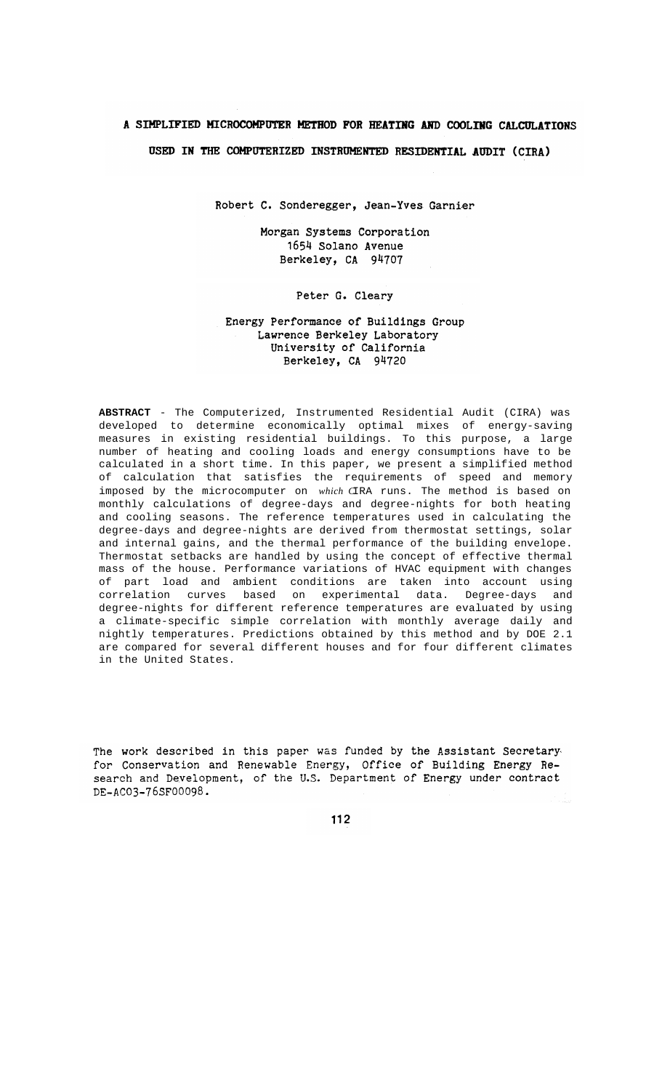# A SIMPLIFIED MICROCOMPUTER METHOD FOR HEATING AND COOLING CALCULATIONS USED IN THE COMPUTERIZED INSTRUMENTED RESIDENTIAL AUDIT (CIRA)

Robert C. Sonderegger, Jean-Yves Garnier

Morgan Systems Corporation 1654 Solano Avenue Berkeley, CA 94707

# Peter G. Cleary

# Energy Performance of Buildings Group Lawrence Berkeley Laboratory University of California Berkeley, CA 94720

ABSTRACT - The Computerized, Instrumented Residential Audit (CIRA) was developed to determine economically optimal mixes of energy-saving measures in existing residential buildings. To this purpose, a large number of heating and cooling loads and energy consumptions have to be calculated in a short time. In this paper, we present a simplified method of calculation that satisfies the requirements of speed and memory imposed by the microcomputer on which CIRA runs. The method is based on monthly calculations of degree-days and degree-nights for both heating and cooling seasons. The reference temperatures used in calculating the degree-days and degree-nights are derived from thermostat settings, solar and internal gains, and the thermal performance of the building envelope. Thermostat setbacks are handled by using the concept of effective thermal mass of the house. Performance variations of HVAC equipment with changes of part load and ambient conditions are taken into account using<br>correlation curves based on experimental data. Degree-days and degree-nights for different reference temperatures are evaluated by using a climate-specific simple correlation with monthly average daily and nightly temperatures. Predictions obtained by this method and by DOE 2.1 are compared for several different houses and for four different climates in the United States.

The work described in this paper was funded by the Assistant Secretary for Conservation and Renewable Energy, Office of Building Energy Research and Development, of the U.S. Department of Energy under contract DE-AC03-76SF00098.

112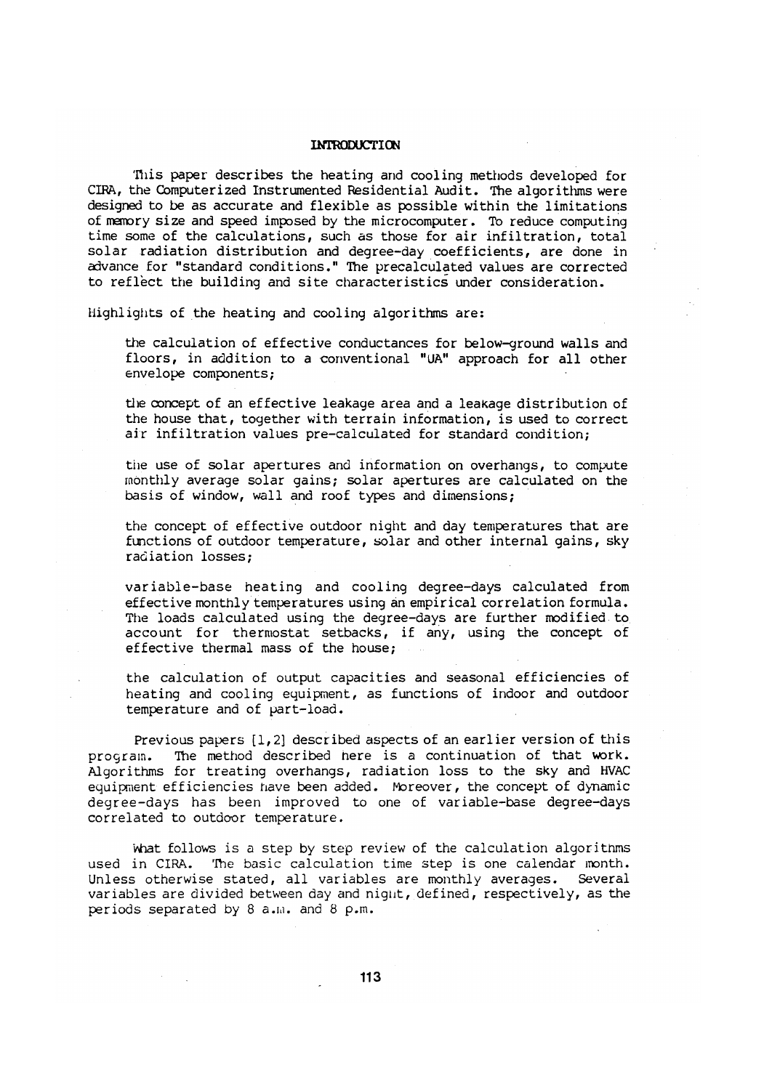### **INTRODUCTION**

This paper describes the heating and cooling methods developed for CIRA, the Computerized Instrumented Residential Audit. The algorithms were designed to be as accurate and flexible as possible within the limitations of manory size and speed imposed by the microcomputer. To reduce computing time some of the calculations, such as those for air infiltration, total solar radiation distribution and degree-day coefficients, are done in advance for "standard conditions." The precalculated values are corrected to reflect the building and site characteristics under consideration.

Highlights of the heating and cooling algorithms are:

the calculation of effective conductances for below-ground walls and floors, in addition to a conventional "UA" approach for all other envelope components;

the concept of an effective leakage area and a leakage distribution of the house that, together with terrain information, is used to correct air infiltration values pre-calculated for standard condition;

the use of solar apertures and information on overhangs, to compute monthly average solar qains; solar apertures are calculated on the basis of window, wall and roof types and dimensions;

the concept of effective outdoor night and day temperatures that are functions of outdoor temperature, solar and other internal gains, sky radiation losses:

variable-base heating and cooling degree-days calculated from effective monthly temperatures using an empirical correlation formula. The loads calculated using the degree-days are further modified to account for thermostat setbacks, if any, using the concept of effective thermal mass of the house;

the calculation of output capacities and seasonal efficiencies of heating and cooling equipment, as functions of indoor and outdoor temperature and of part-load.

Previous papers  $[1,2]$  described aspects of an earlier version of this The method described here is a continuation of that work. program. Algorithms for treating overhangs, radiation loss to the sky and HVAC equipment efficiencies have been added. Moreover, the concept of dynamic degree-days has been improved to one of variable-base degree-days correlated to outdoor temperature.

what follows is a step by step review of the calculation algorithms used in CIRA. The basic calculation time step is one calendar month. Unless otherwise stated, all variables are monthly averages. Several variables are divided between day and night, defined, respectively, as the periods separated by 8 a.m. and 8 p.m.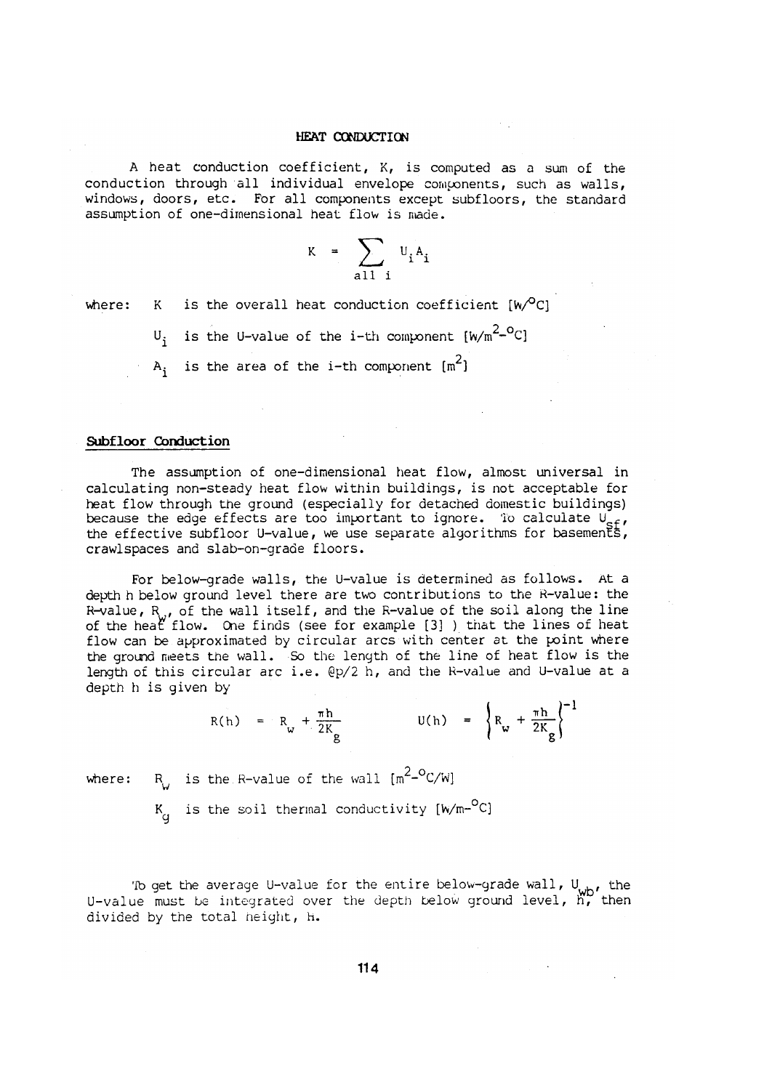A heat conduction coefficient, K, is computed as a sum of the conduction through all individual envelope components, such as walls, windows, doors, etc. For all components except subfloors, the standard assumption of one-dimensional heat flow is made.

$$
K = \sum_{a11 \ i} U_i A_i
$$

is the overall heat conduction coefficient  $[w^O C]$ where:  $K$ 

> is the U-value of the i-th component  $[w/m^2-{}^0C]$ U. A<sub>i</sub> is the area of the i-th component  $[m^2]$

### Subfloor Conduction

The assumption of one-dimensional heat flow, almost universal in calculating non-steady heat flow within buildings, is not acceptable for heat flow through the ground (especially for detached domestic buildings) because the edge effects are too important to ignore. To calculate  $U_{eff}$ the effective subfloor U-value, we use separate algorithms for basements, crawlspaces and slab-on-grade floors.

For below-grade walls, the U-value is determined as follows. At a depth h below ground level there are two contributions to the R-value: the R-value,  $R_{\omega}$ , of the wall itself, and the R-value of the soil along the line of the heat flow. One finds (see for example [3] ) that the lines of heat flow can be approximated by circular arcs with center at the point where the ground meets the wall. So the length of the line of heat flow is the length of this circular arc i.e. @p/2 h, and the R-value and U-value at a depth h is given by

$$
R(h) = R_w + \frac{\pi h}{2K_g}
$$
  $U(h) = \left\{ R_w + \frac{\pi h}{2K_g} \right\}^{-1}$ 

R is the R-value of the wall  $\lceil m^2-{}^{\circ}C/W \rceil$ where:

 $K_d$  is the soil thermal conductivity  $[W/m^{-0}C]$ 

To get the average U-value for the entire below-grade wall,  $U_{wb}$ , the U-value must be integrated over the depth below ground level, h, then divided by the total height, H.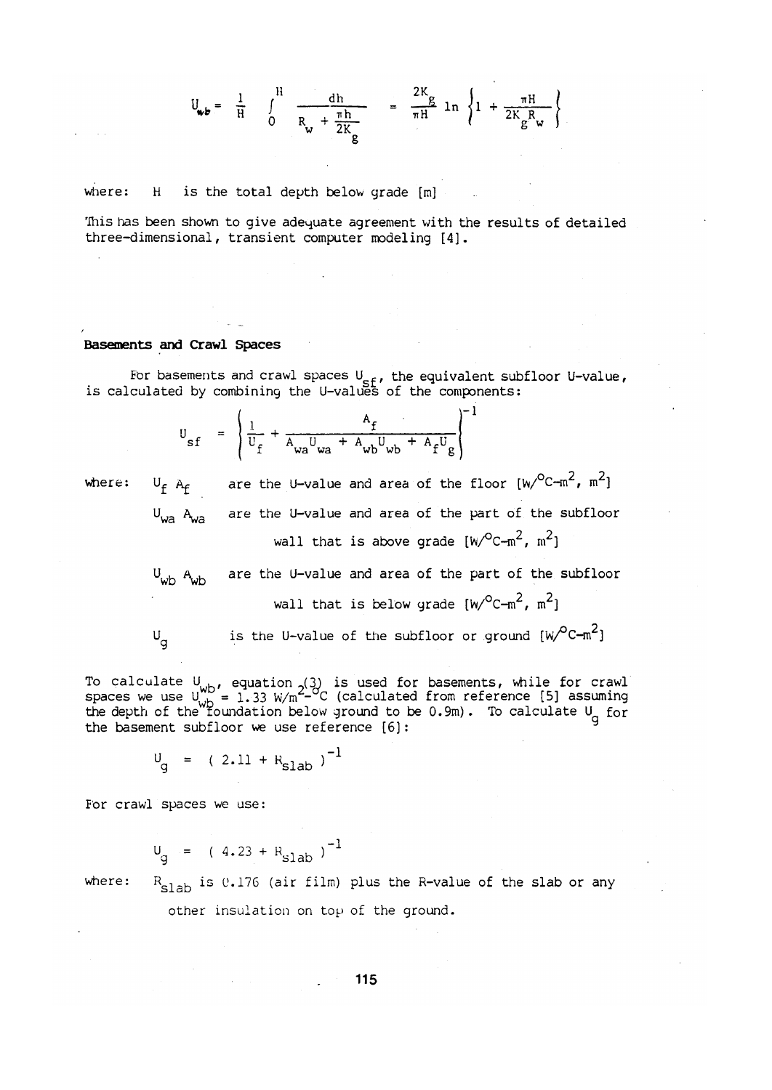$$
U_{\mathbf{w}b} = \frac{1}{H} \int_{0}^{H} \frac{dh}{R_{\mathbf{w}} + \frac{\pi h}{2K_{g}}} = \frac{2K_{g}}{\pi H} \ln \left\{ 1 + \frac{\pi H}{2K_{g}R_{\mathbf{w}}}\right\}
$$

is the total depth below grade [m] where:  $H$ 

This has been shown to give adequate agreement with the results of detailed three-dimensional, transient computer modeling [4].

#### Basements and Crawl Spaces

For basements and crawl spaces  $U_{eff}$ , the equivalent subfloor U-value, is calculated by combining the U-values of the components:

$$
U_{sf} = \left(\frac{1}{U_f} + \frac{A_f}{A_{wa}U_{wa} + A_{wb}U_{wb} + A_fU_g}\right)^{-1}
$$

where:

are the U-value and area of the floor  $[w/C-m^2, m^2]$  $U_f$   $A_f$ are the U-value and area of the part of the subfloor  $U_{wa}$   $A_{wa}$ wall that is above grade  $[w/C-m^2, m^2]$ 

are the U-value and area of the part of the subfloor  $W_{\text{wb}}$   $A_{\text{wb}}$ wall that is below grade  $[w/C-m^2, m^2]$ 

$$
\mathsf{U}_{\mathsf{g}}
$$

is the U-value of the subfloor or ground  $[w^{\circ}C-m^2]$ 

To calculate  $U_{wb}$ , equation (3) is used for basements, while for crawl<br>spaces we use  $U_{wb}^{\text{ub}} = 1.33 \text{ W/m}^2$ - C (calculated from reference [5] assuming<br>the depth of the foundation below ground to be 0.9m). To calcula the basement subfloor we use reference [6]:

$$
V_g = (2.11 + R_{\text{slab}})^{-1}
$$

For crawl spaces we use:

$$
U_g = (4.23 + R_{\text{slab}})^{-1}
$$

 $R_{\text{slab}}$  is 0.176 (air film) plus the R-value of the slab or any other insulation on top of the ground.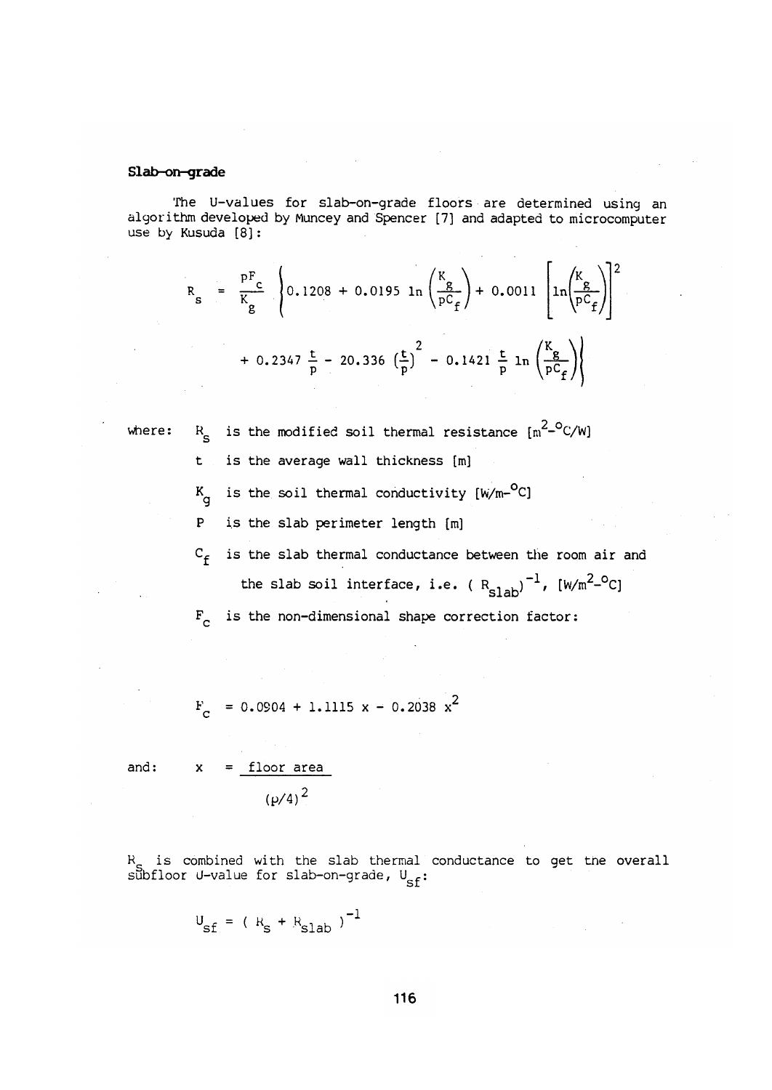### Slab-on-grade

The U-values for slab-on-grade floors are determined using an algorithm developed by Muncey and Spencer [7] and adapted to microcomputer use by Kusuda [8]:

$$
R_{s} = \frac{pF_{c}}{K_{g}} \left\{ 0.1208 + 0.0195 \ln \left( \frac{K_{g}}{pC_{f}} \right) + 0.0011 \left[ \ln \left( \frac{K_{g}}{pC_{f}} \right) \right]^{2} + 0.2347 \frac{t}{p} - 20.336 \left( \frac{t}{p} \right)^{2} - 0.1421 \frac{t}{p} \ln \left( \frac{K_{g}}{pC_{f}} \right) \right\}
$$

where:

- $R_S$  is the modified soil thermal resistance  $\left[\ln^{2-O}C/W\right]$
- is the average wall thickness [m]  $t -$
- $K_{\text{q}}$  is the soil thermal conductivity [W/m-<sup>O</sup>C]
- $\mathbf{P}$ is the slab perimeter length [m]
- $C_f$  is the slab thermal conductance between the room air and the slab soil interface, i.e. ( $R_{\text{slab}}$ )<sup>-1</sup>, [W/m<sup>2\_o</sup>C]

 $F_{c}$  is the non-dimensional shape correction factor:

 $F_c = 0.0904 + 1.1115 x - 0.2038 x^2$ 

and:

 $\mathbf{x}$ 

$$
\frac{\text{floor area}}{\left(\frac{\rho}{4}\right)^2}
$$

R<sub>c</sub> is combined with the slab thermal conductance to get the overall subfloor U-value for slab-on-grade,  $U_{cf}$ :

$$
U_{\rm sf} = (R_{\rm s} + R_{\rm slab})^{-1}
$$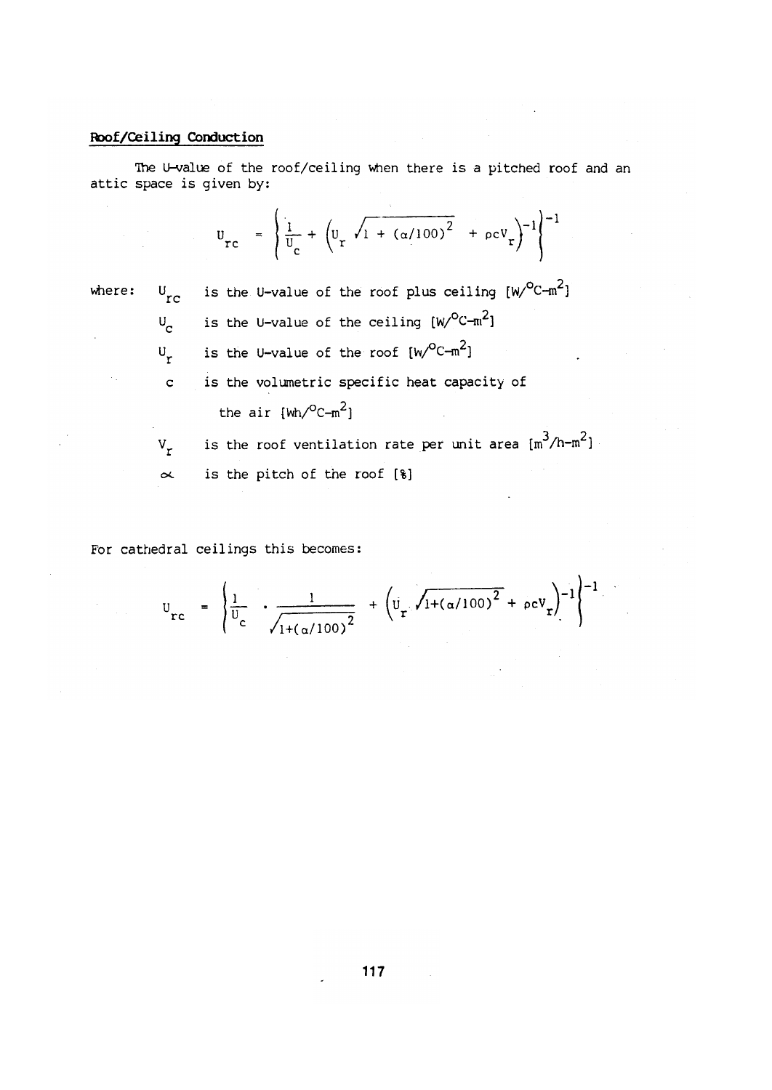# Roof/Ceiling Conduction

The U-value of the roof/ceiling when there is a pitched roof and an attic space is given by:

$$
U_{rc} = \left\{ \frac{1}{U_c} + \left( U_r \sqrt{1 + (\alpha/100)^2} + \rho c V_r \right)^{-1} \right\}^{-1}
$$

where:

is the U-value of the roof plus ceiling  $[w)^{O}C-m^{2}$  $U_{\rm rc}$ is the U-value of the ceiling  $[W/{}^{0}C-m^{2}]$  $U_{\rm cr}$ is the U-value of the roof  $[w^{\circ}C-m^2]$  $U_r$ is the volumetric specific heat capacity of  $\overline{c}$ the air  $[wh/{}^0C-m^2]$ is the roof ventilation rate per unit area  $\left[\mathfrak{m}^3/\mathfrak{h}\text{-m}^2\right]$  $V_r$ 

is the pitch of the roof [8]  $\propto$ 

For cathedral ceilings this becomes:

$$
U_{rc} = \left\{ \frac{1}{U_c} \cdot \frac{1}{\sqrt{1 + (\alpha/100)^2}} + \left( U_r \sqrt{1 + (\alpha/100)^2} + \rho c V_r \right)^{-1} \right\}^{-1}.
$$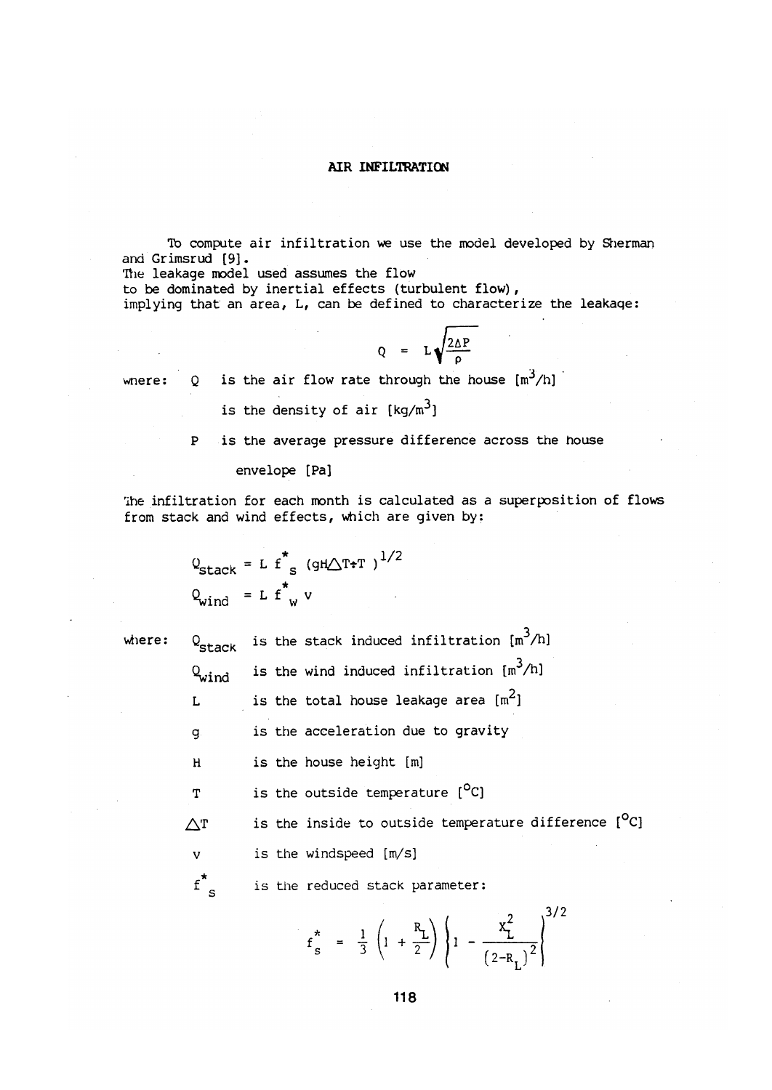# AIR INFILTRATION

To compute air infiltration we use the model developed by Sherman and Grimsrud [9].

The leakage model used assumes the flow

to be dominated by inertial effects (turbulent flow),

implying that an area, L, can be defined to characterize the leakage:

$$
Q = L \sqrt{\frac{2\Delta P}{\rho}}
$$

is the air flow rate through the house  $[m^3/h]$ where:  $\circ$ 

is the density of air  $\lceil \text{kg/m}^3 \rceil$ 

is the average pressure difference across the house  $\mathbf{P}$ 

envelope [Pa]

The infiltration for each month is calculated as a superposition of flows from stack and wind effects, which are given by:

$$
Q_{\text{stack}} = L f^*_{s} (gH \triangle T \cdot T)^{1/2}
$$

$$
Q_{\text{wind}} = L f^*_{w} v
$$

where:

is the stack induced infiltration  $\lceil m^3/h \rceil$  $Q_{\text{stack}}$ 

- is the wind induced infiltration  $[m^3/h]$  $Q_{\text{wind}}$
- is the total house leakage area  $[m^2]$ L
- is the acceleration due to gravity  $\overline{q}$
- is the house height [m]  $H$
- is the outside temperature  $[°C]$  $\mathbf{T}$

is the inside to outside temperature difference [<sup>O</sup>C]  $\triangle$ T

 $\overline{\mathbf{v}}$ is the windspeed [m/s]

 $f'_{s}$ is the reduced stack parameter:

$$
f_S^* = \frac{1}{3} \left( 1 + \frac{R_L}{2} \right) \left\{ 1 - \frac{x_L^2}{(2 - R_L)^2} \right\}^{3/2}
$$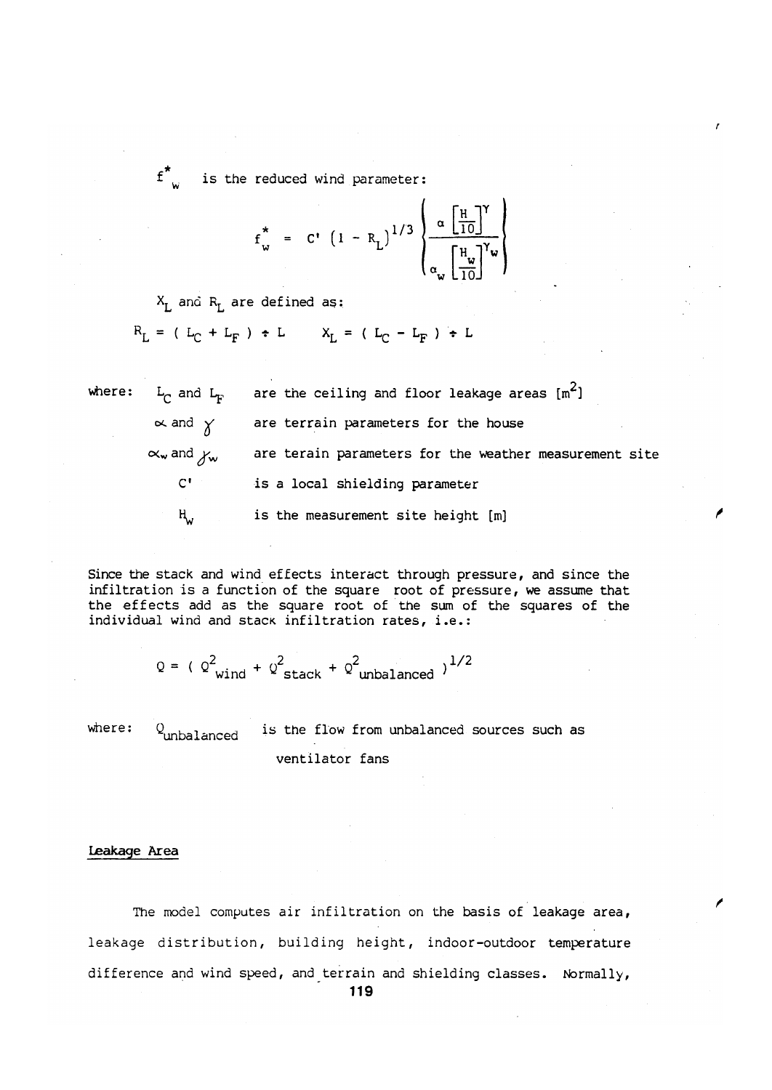is the reduced wind parameter:

$$
f_w^* = C' (1 - R_L)^{1/3} \left\{ \frac{\alpha \left[ \frac{H}{10} \right]^{Y}}{\alpha_w \left[ \frac{H_w}{10} \right]^{Y_w}} \right\}
$$

 $X_{I}$  and  $R_{I}$  are defined as:

 $f^{\star}$ 

 $R_L = (L_C + L_F) + L$   $X_L = (L_C - L_F) + L$ 

are the ceiling and floor leakage areas  $[m^2]$ where:  $L_{\text{c}}$  and  $L_{\text{c}}$  $\propto$  and  $\chi$ are terrain parameters for the house  $\alpha_w$  and  $y_w$ are terain parameters for the weather measurement site  $C^{\perp}$ is a local shielding parameter ң, is the measurement site height [m]

Since the stack and wind effects interact through pressure, and since the infiltration is a function of the square root of pressure, we assume that the effects add as the square root of the sum of the squares of the individual wind and stack infiltration rates, i.e.:

$$
Q = (Q^2_{wind} + Q^2_{stack} + Q^2_{unbalanced})^{1/2}
$$

where: is the flow from unbalanced sources such as  $Q$ <sub>unbalanced</sub> ventilator fans

### Leakage Area

The model computes air infiltration on the basis of leakage area, leakage distribution, building height, indoor-outdoor temperature difference and wind speed, and terrain and shielding classes. Normally,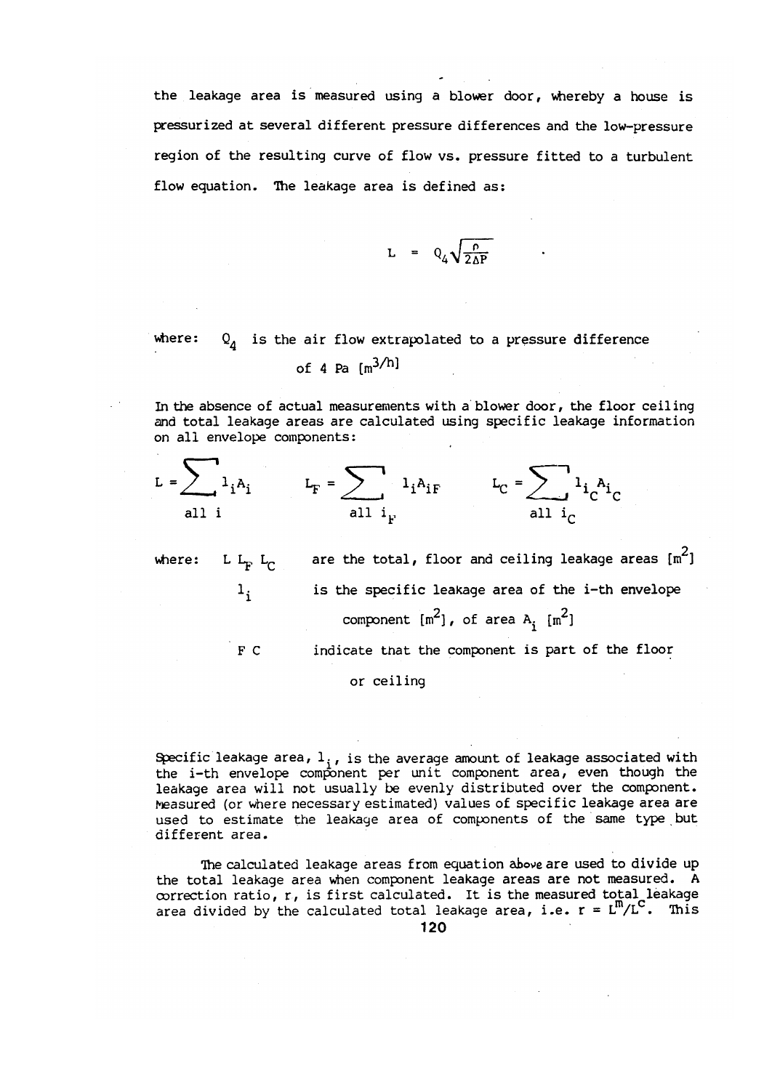the leakage area is measured using a blower door, whereby a house is pressurized at several different pressure differences and the low-pressure region of the resulting curve of flow vs. pressure fitted to a turbulent flow equation. The leakage area is defined as:

$$
L = Q_4 \sqrt{\frac{\rho}{2\Delta P}}
$$

where:  $Q_A$  is the air flow extrapolated to a pressure difference of 4 Pa  $\lceil m^{3/h} \rceil$ 

In the absence of actual measurements with a blower door, the floor ceiling and total leakage areas are calculated using specific leakage information on all envelope components:

$$
L = \sum_{\text{all } i} 1_{i} A_{i} \qquad L_{F} = \sum_{\text{all } i_{F}} 1_{i} A_{iF} \qquad L_{C} = \sum_{\text{all } i_{C}} 1_{i} A_{i}
$$

are the total, floor and ceiling leakage areas  $[m^2]$ where:  $L L_{p} L_{q}$ is the specific leakage area of the i-th envelope  $1<sub>1</sub>$ component  $[m^2]$ , of area A,  $[m^2]$ F C indicate that the component is part of the floor

# or ceiling

Specific leakage area,  $1_i$ , is the average amount of leakage associated with the i-th envelope component per unit component area, even though the leakage area will not usually be evenly distributed over the component. Measured (or where necessary estimated) values of specific leakage area are used to estimate the leakage area of components of the same type but different area.

The calculated leakage areas from equation above are used to divide up the total leakage area when component leakage areas are not measured. A correction ratio, r, is first calculated. It is the measured total leakage area divided by the calculated total leakage area, i.e.  $r = L^{m}/L^{C}$ . This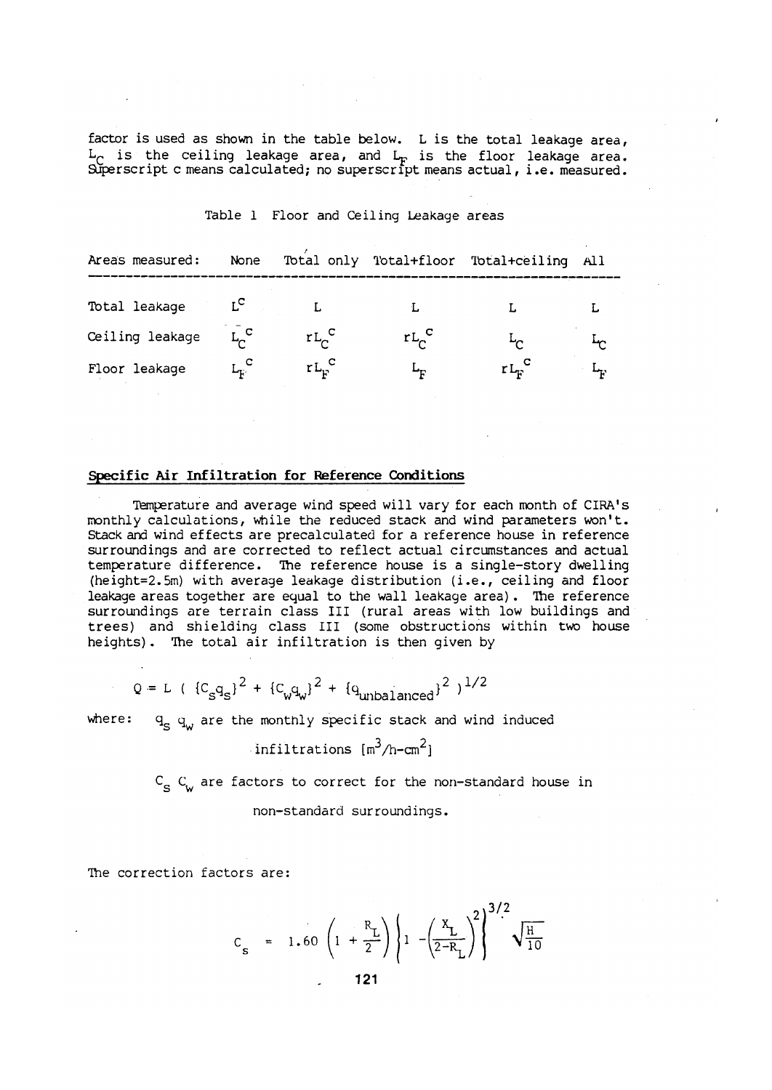factor is used as shown in the table below. L is the total leakage area,  $L_C$  is the ceiling leakage area, and  $L_F$  is the floor leakage area.<br>Superscript c means calculated; no superscript means actual, i.e. measured.

| Areas measured: | None             |                        |             | Total only Total+floor Total+ceiling All |  |
|-----------------|------------------|------------------------|-------------|------------------------------------------|--|
| Total leakage   | $L^{\mathbf{C}}$ |                        |             |                                          |  |
| Ceiling leakage | $L_C^C$          | $rL_{\sim}^{\text{C}}$ | $rL_0$      | $\Gamma_{\!\scriptscriptstyle\! C}$      |  |
| Floor leakage   | $L_{\rm r}$ .c   | $rL_{\rm b}^{\rm C}$   | $L_{\rm E}$ | $rL_{E}$                                 |  |

# Table 1 Floor and Ceiling Leakage areas

# Specific Air Infiltration for Reference Conditions

Temperature and average wind speed will vary for each month of CIRA's monthly calculations, while the reduced stack and wind parameters won't. Stack and wind effects are precalculated for a reference house in reference surroundings and are corrected to reflect actual circumstances and actual temperature difference. The reference house is a single-story dwelling (height=2.5m) with average leakage distribution (i.e., ceiling and floor leakage areas together are equal to the wall leakage area). The reference surroundings are terrain class III (rural areas with low buildings and trees) and shielding class III (some obstructions within two house heights). The total air infiltration is then given by

$$
Q = L
$$
 (  ${C_{S}q_{S}}^2 + {C_{w}q_{w}}^2 + {q_{unbalanced}}^2$  )<sup>1/2</sup>

where:  $q_c$   $q_u$  are the montnly specific stack and wind induced

infiltrations 
$$
[m^3/n-cm^2]
$$

 $C_{\rm g}$   $C_{\rm w}$  are factors to correct for the non-standard house in

non-standard surroundings.

The correction factors are:

$$
C_{\rm s} = 1.60 \left(1 + \frac{R_{\rm L}}{2}\right) \left\{1 - \left(\frac{X_{\rm L}}{2 - R_{\rm L}}\right)^2\right\}^{3/2} \sqrt{\frac{H}{10}}
$$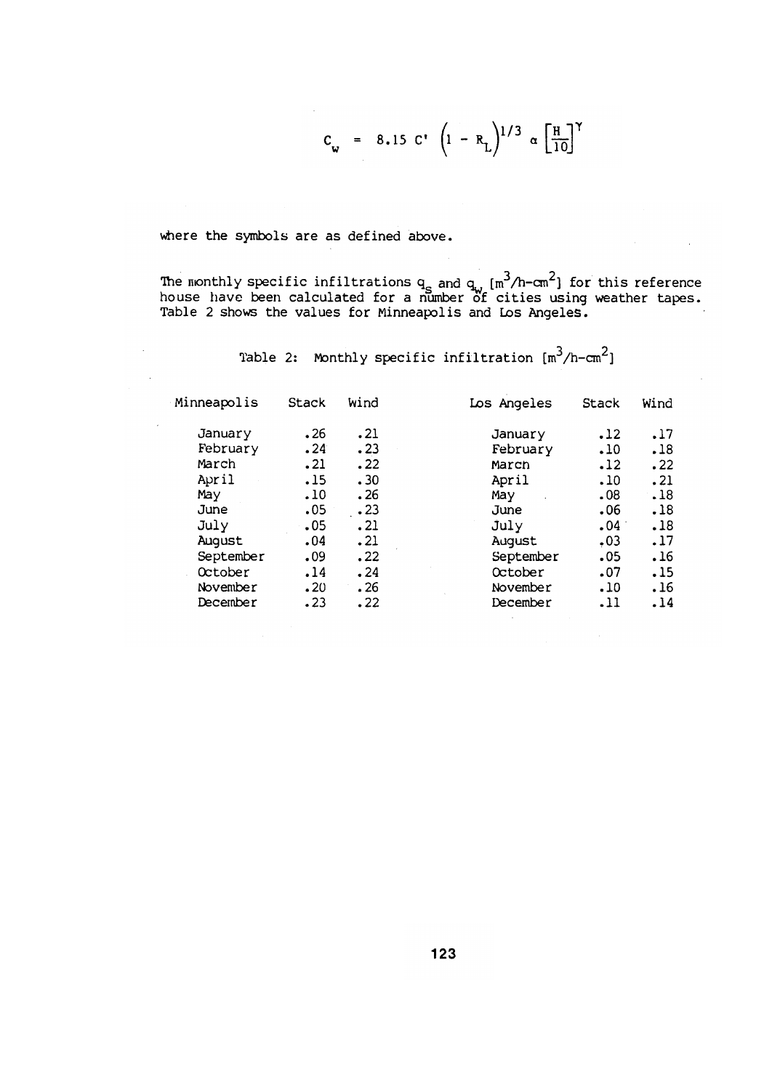$$
C_{w} = 8.15 \text{ C'} \left( 1 - R_{L} \right)^{1/3} \alpha \left[ \frac{H}{10} \right]^{\gamma}
$$

 $\sim 10^7$ 

 $\mathbb{R}^2$ 

where the symbols are as defined above.

 $\mathcal{L}^{\mathcal{L}}$ 

The monthly specific infiltrations  $q_g$  and  $q_v$   $[m^3/h - cm^2]$  for this reference house have been calculated for a number of cities using weather tapes. Table 2 shows the values for Minneapolis and Los Angeles.

Table 2: Monthly specific infiltration  $\lceil m^3/h-cm^2 \rceil$ 

| Minneapolis | <b>Stack</b> | Wind       | Los Angeles | <b>Stack</b> | Wind |
|-------------|--------------|------------|-------------|--------------|------|
| January     | .26          | .21        | January     | .12          | .17  |
| February    | .24          | .23        | February    | .10          | .18  |
| March       | .21          | .22        | March       | .12          | .22  |
| April       | .15          | .30        | April       | .10          | .21  |
| May         | .10          | .26        | May         | .08          | .18  |
| June        | .05          | $\cdot$ 23 | June        | .06          | .18  |
| July        | .05          | .21        | July        | .04          | .18  |
| August      | .04          | .21        | August      | .03          | .17  |
| September   | .09          | .22        | September   | .05          | .16  |
| October     | .14          | .24        | October     | .07          | .15  |
| November    | .20          | .26        | November    | .10          | .16  |
| December    | .23          | .22        | December    | .11          | .14  |
|             |              |            |             |              |      |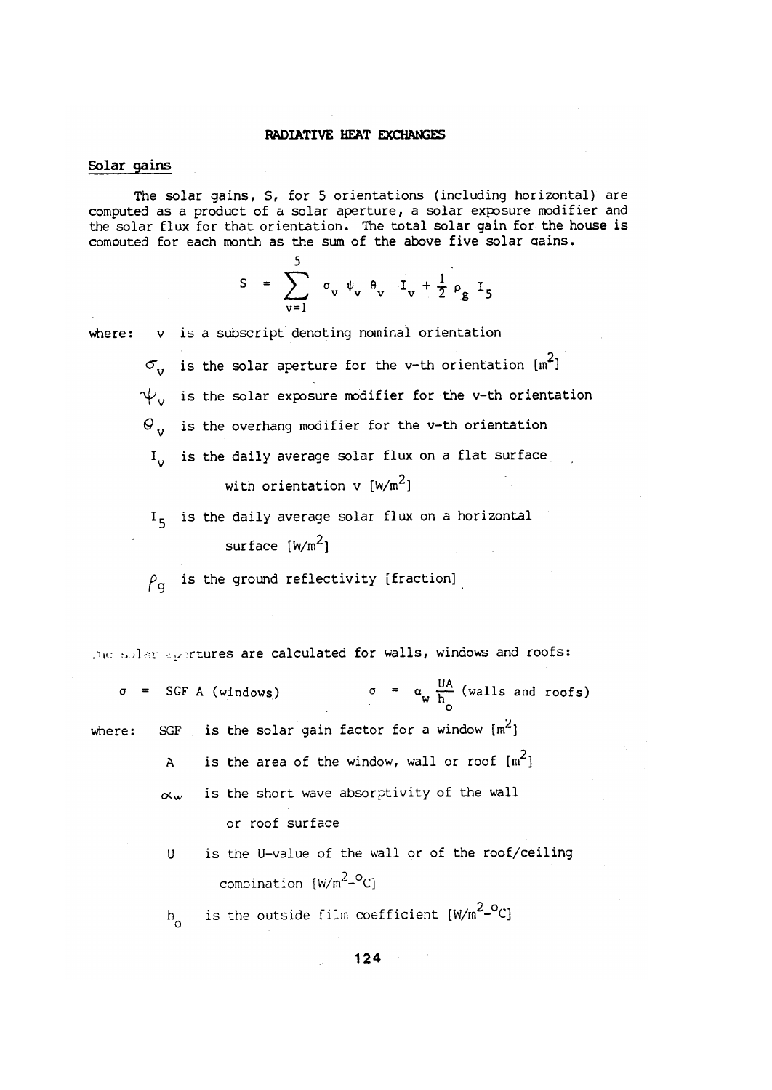### RADIATIVE HEAT EXCHANGES

# Solar gains

The solar gains, S, for 5 orientations (including horizontal) are computed as a product of a solar aperture, a solar exposure modifier and the solar flux for that orientation. The total solar gain for the house is computed for each month as the sum of the above five solar gains.

$$
S = \sum_{v=1}^{5} \sigma_v \psi_v \theta_v I_v + \frac{1}{2} \rho_g I_5
$$

v is a subscript denoting nominal orientation where:

c.

 $\sigma_{\rm v}$  is the solar aperture for the v-th orientation [m<sup>2</sup>]  $\psi_{v}$  is the solar exposure modifier for the v-th orientation  $\Theta_{v}$  is the overhang modifier for the v-th orientation I<sub>v</sub> is the daily average solar flux on a flat surface with orientation v  $[w/m^2]$ 

 $I<sub>5</sub>$  is the daily average solar flux on a horizontal surface  $[w/m^2]$ 

 $\rho_{\alpha}$  is the ground reflectivity [fraction]

the solar eportures are calculated for walls, windows and roofs:

 $\sigma = \alpha_w \frac{UA}{h}$  (walls and roofs)  $\sigma$  = SGF A (windows) is the solar gain factor for a window  $[m^2]$ **SGF** where: is the area of the window, wall or roof  $[m^2]$  $\overline{A}$ is the short wave absorptivity of the wall  $\propto$ w or roof surface

> is the U-value of the wall or of the roof/ceiling U combination  $[W/m^2-{}^{\circ}C]$

is the outside film coefficient [W/m<sup>2\_o</sup>C]  $h_{\alpha}$ 

124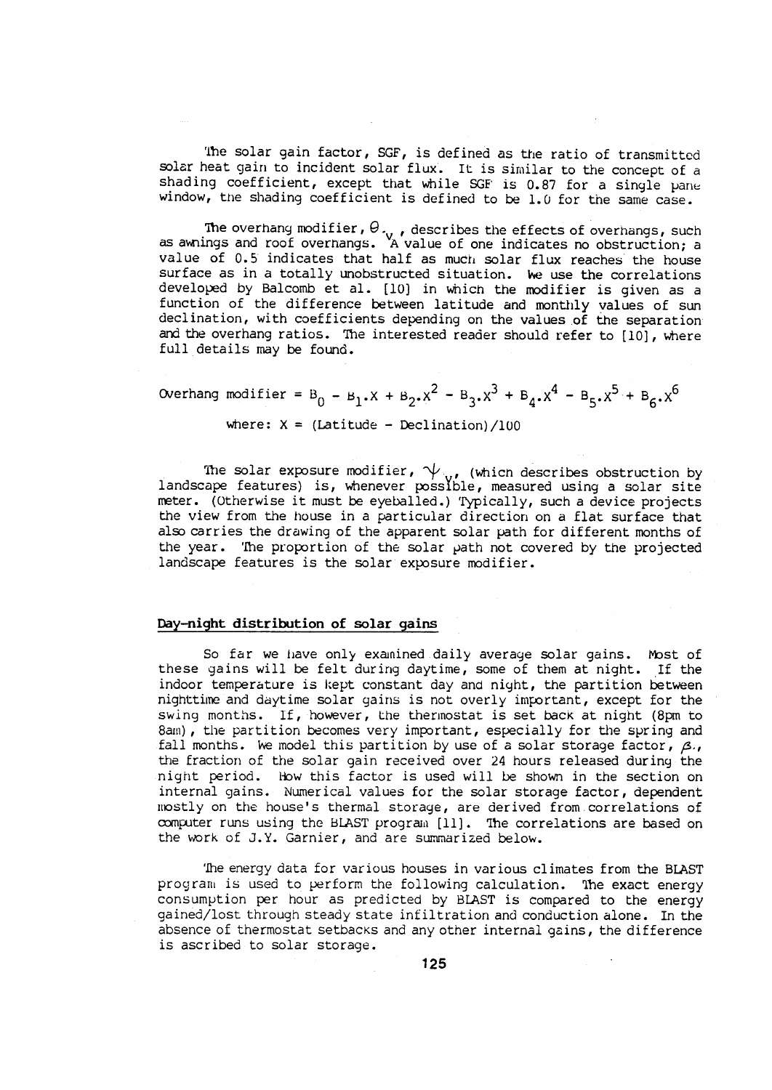The solar gain factor, SGF, is defined as the ratio of transmitted solar heat gain to incident solar flux. It is similar to the concept of a shading coefficient, except that while SGF is 0.87 for a single pane window, the shading coefficient is defined to be 1.0 for the same case.

The overhang modifier,  $\theta_{\gamma}$ , describes the effects of overhangs, such as awnings and roof overhangs. A value of one indicates no obstruction; a value of 0.5 indicates that half as much solar flux reaches the house surface as in a totally unobstructed situation. We use the correlations developed by Balcomb et al. [10] in which the modifier is given as a function of the difference between latitude and monthly values of sun declination, with coefficients depending on the values of the separation and the overhang ratios. The interested reader should refer to [10], where full details may be found.

Overhang modifier = B<sub>0</sub> - B<sub>1</sub>.X + B<sub>2</sub>.X<sup>2</sup> - B<sub>3</sub>.X<sup>3</sup> + B<sub>4</sub>.X<sup>4</sup> - B<sub>5</sub>.X<sup>5</sup> + B<sub>6</sub>.X<sup>6</sup>

where:  $X = (Lattice - Declination)/100$ 

The solar exposure modifier,  $\psi_{v}$ , (which describes obstruction by landscape features) is, whenever possible, measured using a solar site meter. (Otherwise it must be eyeballed.) Typically, such a device projects the view from the house in a particular direction on a flat surface that also carries the drawing of the apparent solar path for different months of the year. The proportion of the solar path not covered by the projected landscape features is the solar exposure modifier.

#### Day-night distribution of solar gains

So far we have only examined daily average solar gains. Most of these gains will be felt during daytime, some of them at night. If the indoor temperature is kept constant day and night, the partition between nighttime and daytime solar gains is not overly important, except for the swing months. If, however, the thermostat is set back at night (8pm to 8am), the partition becomes very important, especially for the spring and fall months. We model this partition by use of a solar storage factor,  $\beta$ . the fraction of the solar gain received over 24 hours released during the night period. How this factor is used will be shown in the section on internal gains. Numerical values for the solar storage factor, dependent mostly on the house's thermal storage, are derived from correlations of computer runs using the BLAST program [11]. The correlations are based on the work of J.Y. Garnier, and are summarized below.

The energy data for various houses in various climates from the BLAST program is used to perform the following calculation. The exact energy consumption per hour as predicted by BLAST is compared to the energy gained/lost through steady state infiltration and conduction alone. In the absence of thermostat setbacks and any other internal gains, the difference is ascribed to solar storage.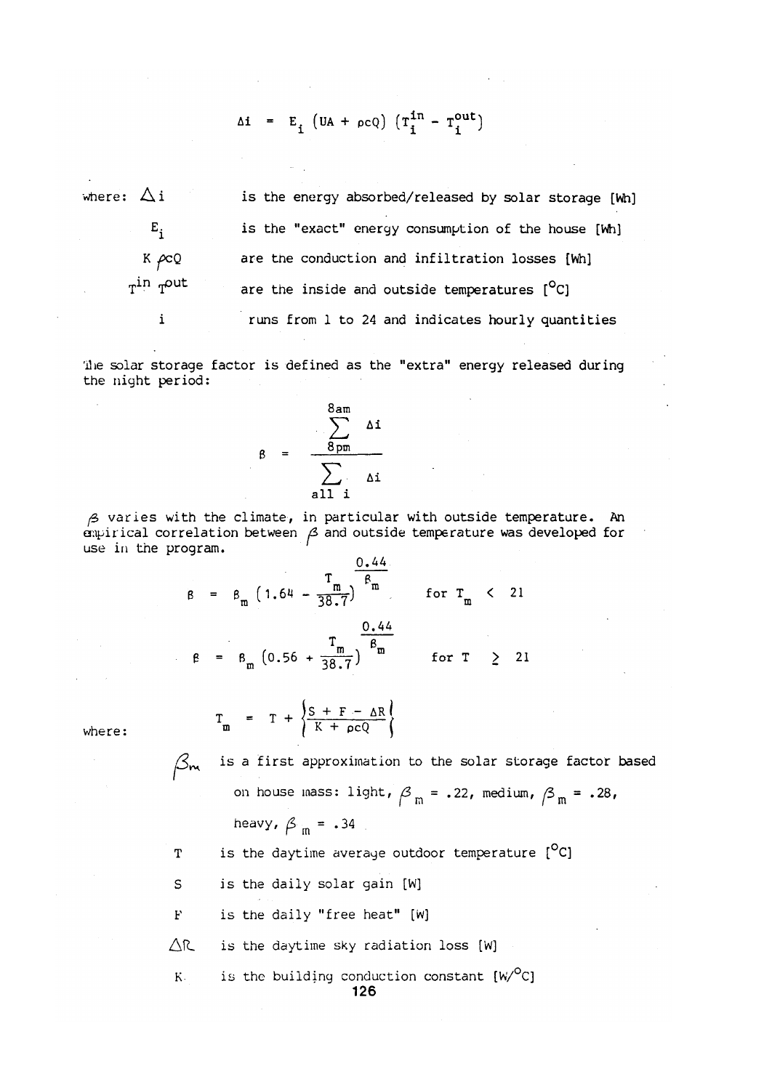$$
\Delta i = E_i \left( UA + \rho cQ \right) \left( T_i^{in} - T_i^{out} \right)
$$

where:  $\Delta i$ is the energy absorbed/released by solar storage [Wh] is the "exact" energy consumption of the house [Wh]  $E_i$  $K \sim Q$ are the conduction and infiltration losses [Wh]  $T^{\text{in}}$   $T^{\text{out}}$ are the inside and outside temperatures  $[°C]$ runs from 1 to 24 and indicates hourly quantities  $\mathbf{i}$ 

The solar storage factor is defined as the "extra" energy released during the night period:

$$
\beta = \frac{\sum_{\text{8pm}}^{\text{8am}} \Delta i}{\sum_{\text{all } i} \Delta i}
$$

 $\beta$  varies with the climate, in particular with outside temperature. An  $\alpha$  is developed for  $\beta$  and outside temperature was developed for use in the program.

$$
\beta = \beta_{m} \left( 1.64 - \frac{T_{m}}{38.7} \right)^{\frac{0.44}{\beta_{m}}} \quad \text{for } T_{m} < 21
$$
\n
$$
\beta = \beta_{m} \left( 0.56 + \frac{T_{m}}{38.7} \right)^{\frac{0.44}{\beta_{m}}} \quad \text{for } T \geq 21
$$

where:

 $\beta_m$ 

is a first approximation to the solar storage factor based on house mass: light,  $\beta_m = .22$ , medium,  $\beta_m = .28$ , heavy,  $\beta_m = .34$ 

is the daytime average outdoor temperature [<sup>O</sup>C] T

S is the daily solar gain [W]

 $T_m$  = T +  $\left\{\frac{S + F - \Delta R}{K + \rho CQ}\right\}$ 

is the daily "free heat" [W]  $\mathbf{F}$ 

 $\triangle$ R is the daytime sky radiation loss [W]

is the building conduction constant  $[W^O C]$  $K$ . 126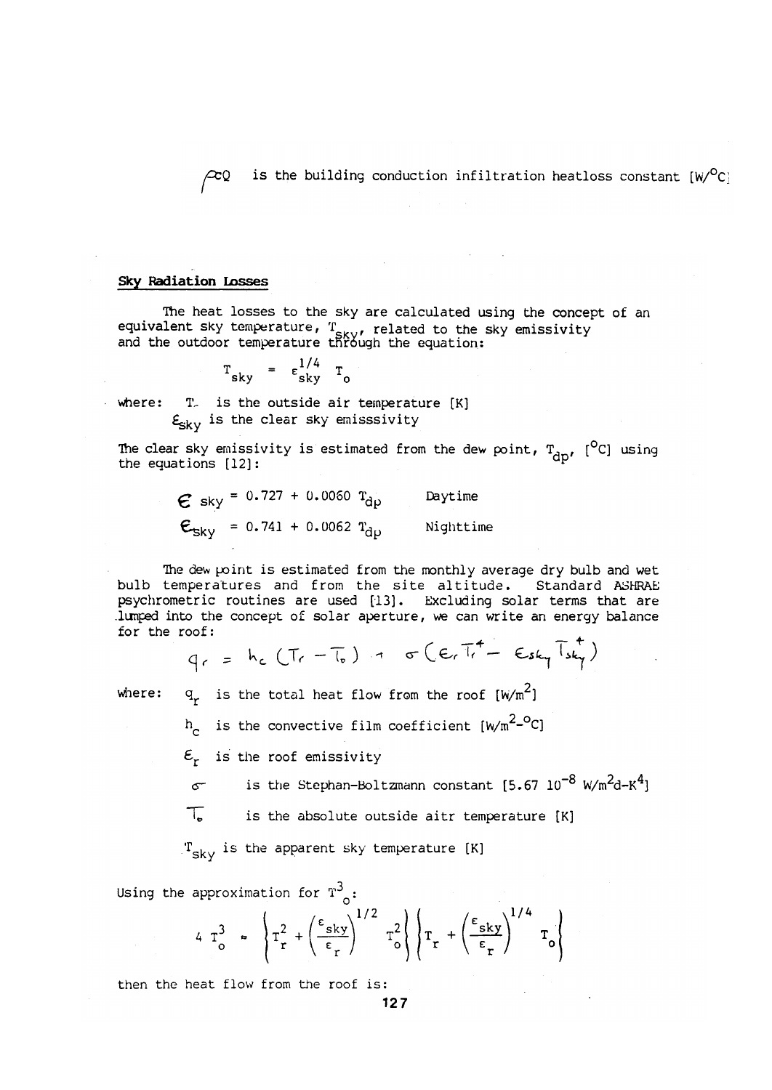is the building conduction infiltration heatloss constant  $[w/C]$  $\approx$ 0

### **Sky Radiation Losses**

The heat losses to the sky are calculated using the concept of an equivalent sky temperature, T<sub>SKY</sub>, related to the sky emissivity<br>and the outdoor temperature through the equation:

$$
T_{sky} = \epsilon_{sky}^{1/4} T_0
$$

where: T. is the outside air temperature [K]  $\mathbf{E}_{\mathbf{S}\mathbf{k}\mathbf{V}}$  is the clear sky emisssivity

The clear sky emissivity is estimated from the dew point,  $T_{\text{dm}}$ , [<sup>O</sup>C] using the equations  $[12]$ :

> $\epsilon$  sky = 0.727 + 0.0060  $T_{d\nu}$ Daytime  $\epsilon_{sky}$  = 0.741 + 0.0062  $T_{dp}$  Nighttime

The dew point is estimated from the monthly average dry bulb and wet bulb temperatures and from the site altitude. Standard ASHRAE psychrometric routines are used [13]. Excluding solar terms that are lumped into the concept of solar aperture, we can write an energy balance for the roof:

$$
q_{r} = h_{c}(Tr - T_{o}) + \sigma (E_{r}T_{r} - E_{sky}T_{sky})
$$

where:

 $q_r$  is the total heat flow from the roof  $[w/m^2]$ 

 $h_c$  is the convective film coefficient [W/m<sup>2-o</sup>C]

 $\mathcal{E}_{r}$  is the roof emissivity

is the Stephan-Boltzmann constant  $[5.67 \ 10^{-8} \ W/m^{2}d-K^{4}]$  $\sigma$ 

T. is the absolute outside aitr temperature [K]

 $T_{\rm sky}$  is the apparent sky temperature [K]

Using the approximation for  $T^3$ :

$$
4 T_o^3 \approx \left\{ T_r^2 + \left(\frac{\epsilon_{sky}}{\epsilon_r}\right)^{1/2} T_o^2 \right\} \left\{ T_r + \left(\frac{\epsilon_{sky}}{\epsilon_r}\right)^{1/4} T_o \right\}
$$

then the heat flow from the roof is: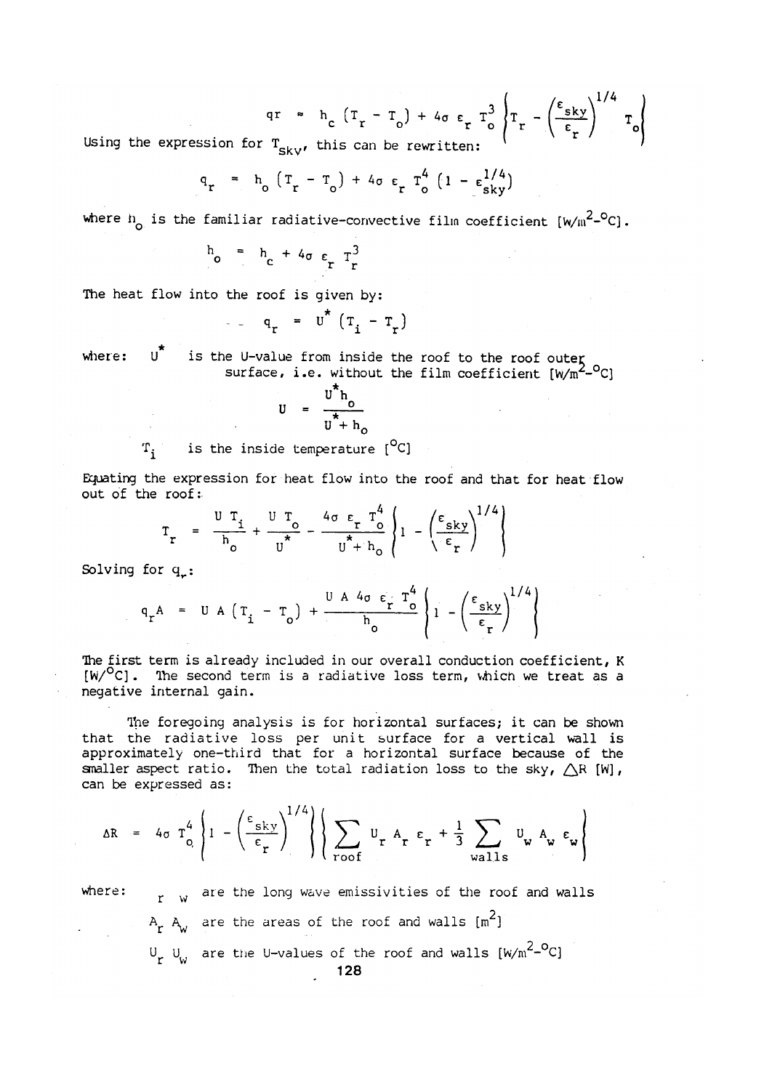$$
qr = h_c (T_r - T_o) + 4\sigma \epsilon_r T_o^3 \left\{ T_r - \left(\frac{\epsilon_{sky}}{\epsilon_r}\right)^{1/4} T_o \right\}
$$

Using the expression for  $T_{sky}$ , this can be rewritten:

$$
q_r = h_o (T_r - T_o) + 4\sigma \epsilon_r T_o^4 (1 - \epsilon_{sky}^{1/4})
$$

where  $n_c$  is the familiar radiative-convective film coefficient  $\left[w/m^2-{}^0C\right]$ .

$$
h_o = h_c + 4\sigma \varepsilon_r T_r^3
$$

The heat flow into the roof is given by:

$$
q_r = u^* (T_i - T_r)
$$

 $\mathbf{u}^{\star}$ is the U-value from inside the roof to the roof outer<br>surface, i.e. without the film coefficient  $[w/m^2-{}^OC]$ where:

$$
U = \frac{U^* h_o}{U^* + h_o}
$$

is the inside temperature [<sup>O</sup>C]  $\mathbf{T}_i$ 

Equating the expression for heat flow into the roof and that for heat flow out of the roof:

$$
\Gamma_r = \frac{U T_i}{h_o} + \frac{U T_o}{U^*} - \frac{4\sigma \epsilon_r T_o^4}{U^* + h_o} \left\{ 1 - \left( \frac{\epsilon_{sky}}{\epsilon_r} \right)^{1/4} \right\}
$$

Solving for  $q_{\alpha}$ :

$$
q_r A = U A (T_i - T_o) + \frac{U A 4\sigma \epsilon_r T_o^4}{h_o} \left\{ 1 - \left(\frac{\epsilon_{sky}}{\epsilon_r}\right)^{1/4} \right\}
$$

The first term is already included in our overall conduction coefficient, K  $[w/$ <sup>O</sup>C]. The second term is a radiative loss term, which we treat as a negative internal gain.

The foregoing analysis is for horizontal surfaces; it can be shown that the radiative loss per unit surface for a vertical wall is approximately one-third that for a horizontal surface because of the smaller aspect ratio. Then the total radiation loss to the sky,  $\triangle R$  [W], can be expressed as:

$$
\Delta R = 4\sigma \tau_o^4 \left\{ 1 - \left( \frac{\epsilon_{sky}}{\epsilon_r} \right)^{1/4} \right\} \left\{ \sum_{\text{root}} U_r A_r \epsilon_r + \frac{1}{3} \sum_{\text{walls}} U_\text{w} A_\text{w} \epsilon_\text{w} \right\}
$$

 $r$  w are the long wave emissivities of the roof and walls  $where:$  $A_r$   $A_w$  are the areas of the roof and walls  $\{m^2\}$  $U_r$   $U_w$  are the U-values of the roof and walls  $[w/m^2-{}^OC]$ 128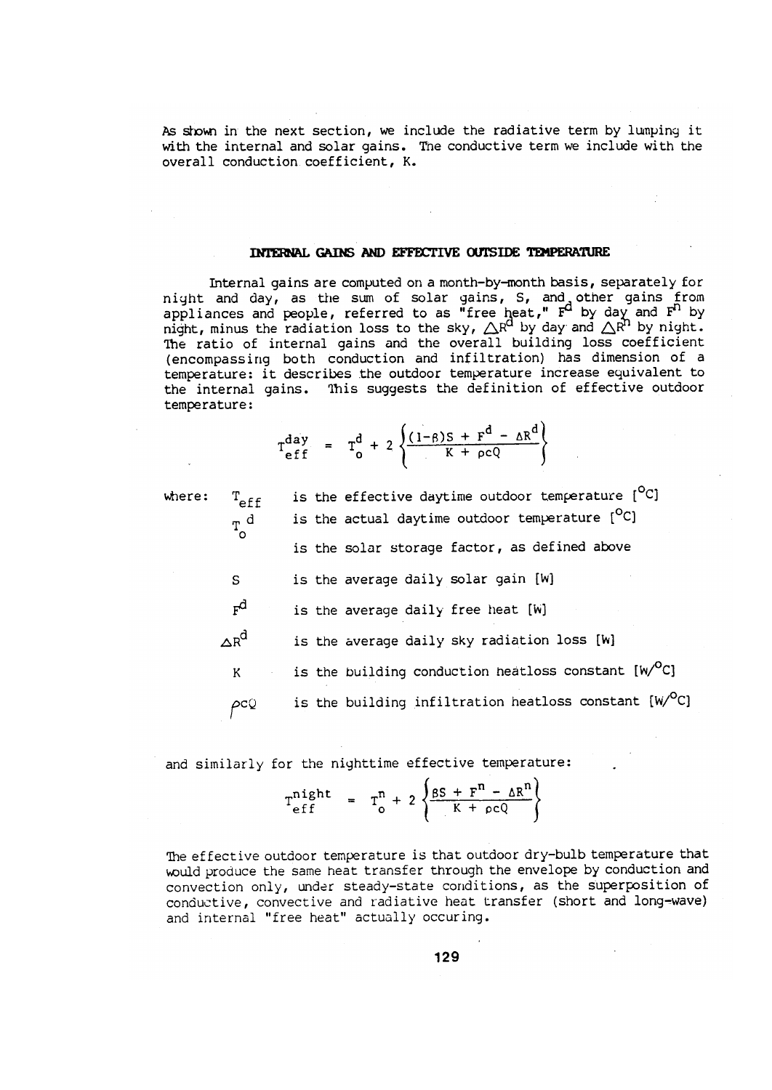As shown in the next section, we include the radiative term by lumping it with the internal and solar gains. The conductive term we include with the overall conduction coefficient, K.

# INTERNAL GAINS AND EFFECTIVE OUTSIDE TEMPERATURE

Internal gains are computed on a month-by-month basis, separately for night and day, as the sum of solar gains, S, and other gains from<br>appliances and people, referred to as "free heat,"  $F^d$  by day and  $F^h$  by<br>night, minus the radiation loss to the sky,  $\Delta R^d$  by day and  $\Delta R^h$  by nigh (encompassing both conduction and infiltration) has dimension of a temperature: it describes the outdoor temperature increase equivalent to the internal gains. This suggests the definition of effective outdoor temperature:

$$
T_{eff}^{day} = T_0^d + 2 \left\{ \frac{(1-\beta)S + F^d - \Delta R^d}{K + \rho cQ} \right\}
$$

 $0 -$ 

| where: | $T_{\rm eff}$       | is the effective daytime outdoor temperature [C]                   |
|--------|---------------------|--------------------------------------------------------------------|
|        | $T_{\rm o}^{\rm d}$ | is the actual daytime outdoor temperature [ <sup>O</sup> C]        |
|        |                     | is the solar storage factor, as defined above                      |
|        | S                   | is the average daily solar gain [W]                                |
|        | $F^{\!d}$           | is the average daily free heat [W]                                 |
|        | $\Delta R^d$        | is the average daily sky radiation loss [W]                        |
|        | K                   | is the building conduction heatloss constant [W/ <sup>O</sup> C]   |
|        | ρcQ                 | is the building infiltration heatloss constant [W/ <sup>O</sup> C] |
|        |                     |                                                                    |

and similarly for the nighttime effective temperature:

$$
T_{eff}^{night} = T_0^n + 2 \left\{ \frac{\beta S + F^n - \Delta R^n}{K + \rho cQ} \right\}
$$

The effective outdoor temperature is that outdoor dry-bulb temperature that would produce the same heat transfer through the envelope by conduction and convection only, under steady-state conditions, as the superposition of conductive, convective and radiative heat transfer (short and long-wave) and internal "free heat" actually occuring.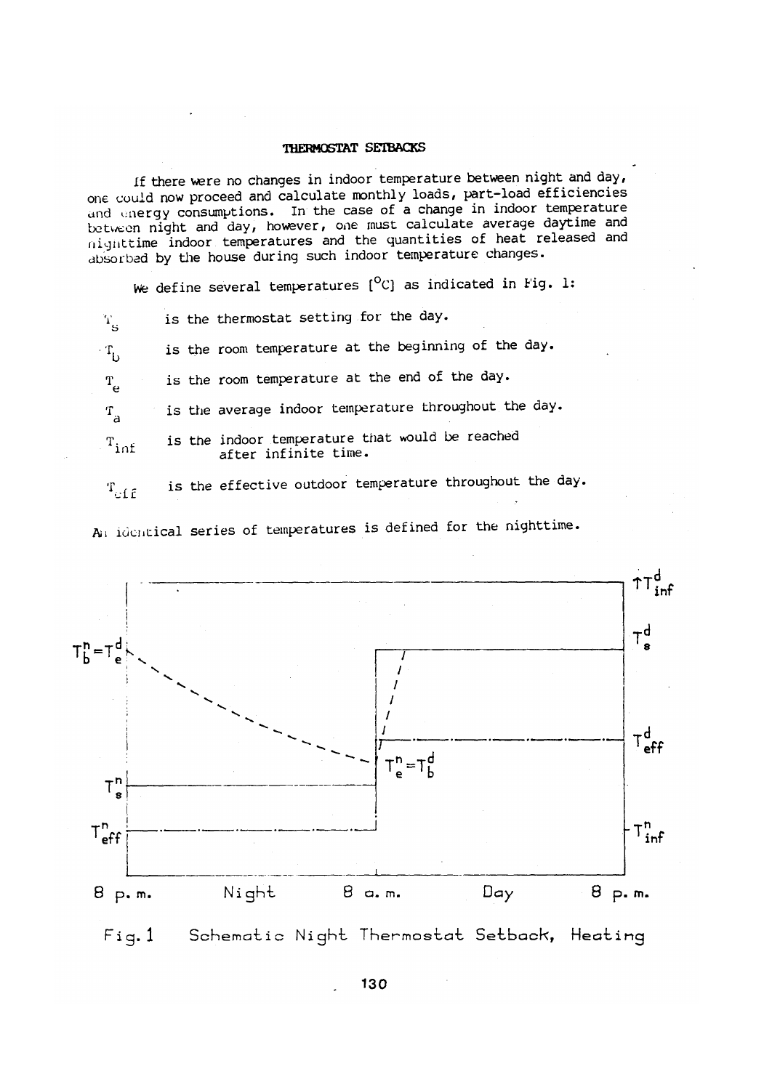### THERMOSTAT SETBACKS

If there were no changes in indoor temperature between night and day, one could now proceed and calculate monthly loads, part-load efficiencies and energy consumptions. In the case of a change in indoor temperature between night and day, however, one must calculate average daytime and nighttime indoor temperatures and the quantities of heat released and absorbed by the house during such indoor temperature changes.

We define several temperatures  $[°C]$  as indicated in Fig. 1:

is the thermostat setting for the day.  $T_{\rm g}$ 

is the room temperature at the beginning of the day.  $\cdot$  T<sub>t</sub>

is the room temperature at the end of the day.  $T_{\rho}$ 

is the average indoor temperature throughout the day.  $T_{\rm a}$ 

is the indoor temperature that would be reached  $T_{\rm inf}$ after infinite time.

is the effective outdoor temperature throughout the day.  $T_{eff}$ 

An identical series of temperatures is defined for the nighttime.



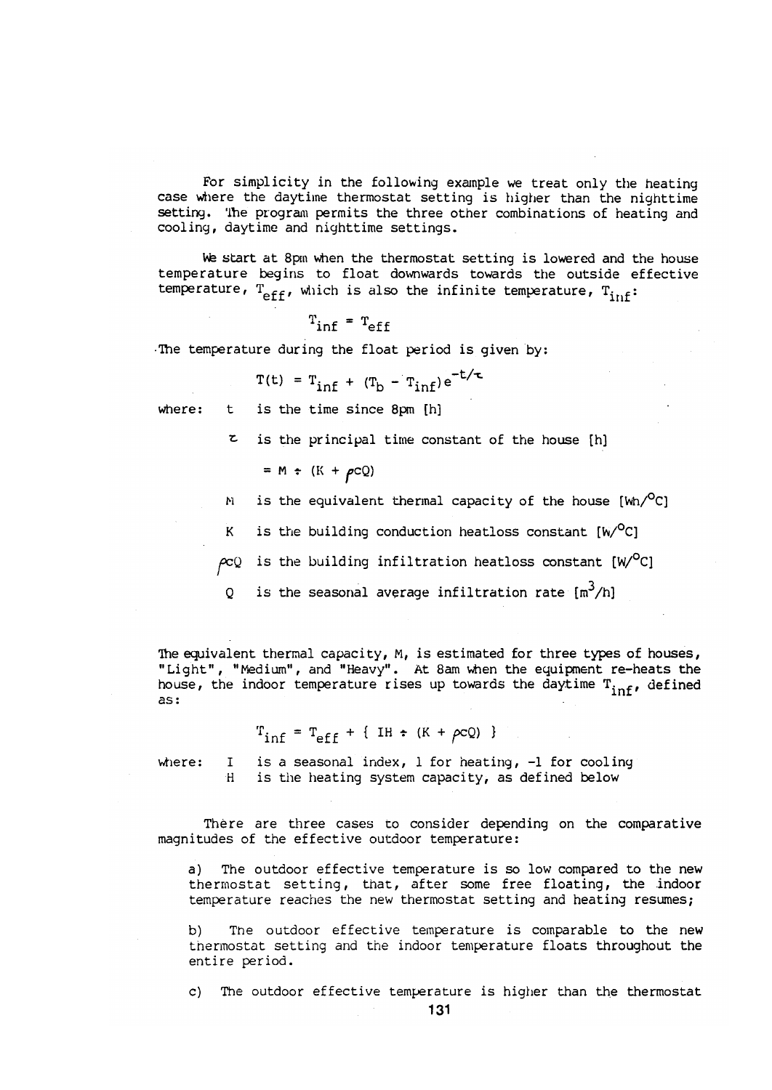For simplicity in the following example we treat only the heating case where the daytime thermostat setting is higher than the nighttime setting. The program permits the three other combinations of heating and cooling, daytime and nighttime settings.

We start at 8pm when the thermostat setting is lowered and the house temperature begins to float downwards towards the outside effective temperature,  $T_{eff}$ , which is also the infinite temperature,  $T_{inf}$ :

$$
T_{\text{inf}} = T_{\text{eff}}
$$

The temperature during the float period is given by:

$$
T(t) = T_{inf} + (T_b - T_{inf})e^{-t/\tau}
$$

t is the time since 8pm [h] where:

 $z$  is the principal time constant of the house [h]

$$
= M + (K + \rho CQ)
$$

is the equivalent thermal capacity of the house  $[Wh^O C]$  $\mathbf{N}$ 

is the building conduction heatloss constant  $[w/C]$  $K$ 

 $\rho cQ$  is the building infiltration heatloss constant [W/<sup>O</sup>C]

is the seasonal average infiltration rate  $\lceil m^3/n \rceil$  $\circ$ 

The equivalent thermal capacity, M, is estimated for three types of houses, "Light", "Medium", and "Heavy". At 8am when the equipment re-heats the house, the indoor temperature rises up towards the daytime  $T_{inf}$ , defined  $as:$ 

$$
T_{\text{inf}} = T_{\text{eff}} + \{ H + (K + \rho cQ) \}
$$

where:

is a seasonal index, 1 for heating, -1 for cooling  $\mathbf{I}$ is the heating system capacity, as defined below  $H$ 

There are three cases to consider depending on the comparative magnitudes of the effective outdoor temperature:

a) The outdoor effective temperature is so low compared to the new thermostat setting, that, after some free floating, the indoor temperature reaches the new thermostat setting and heating resumes;

The outdoor effective temperature is comparable to the new b) thermostat setting and the indoor temperature floats throughout the entire period.

c) The outdoor effective temperature is higher than the thermostat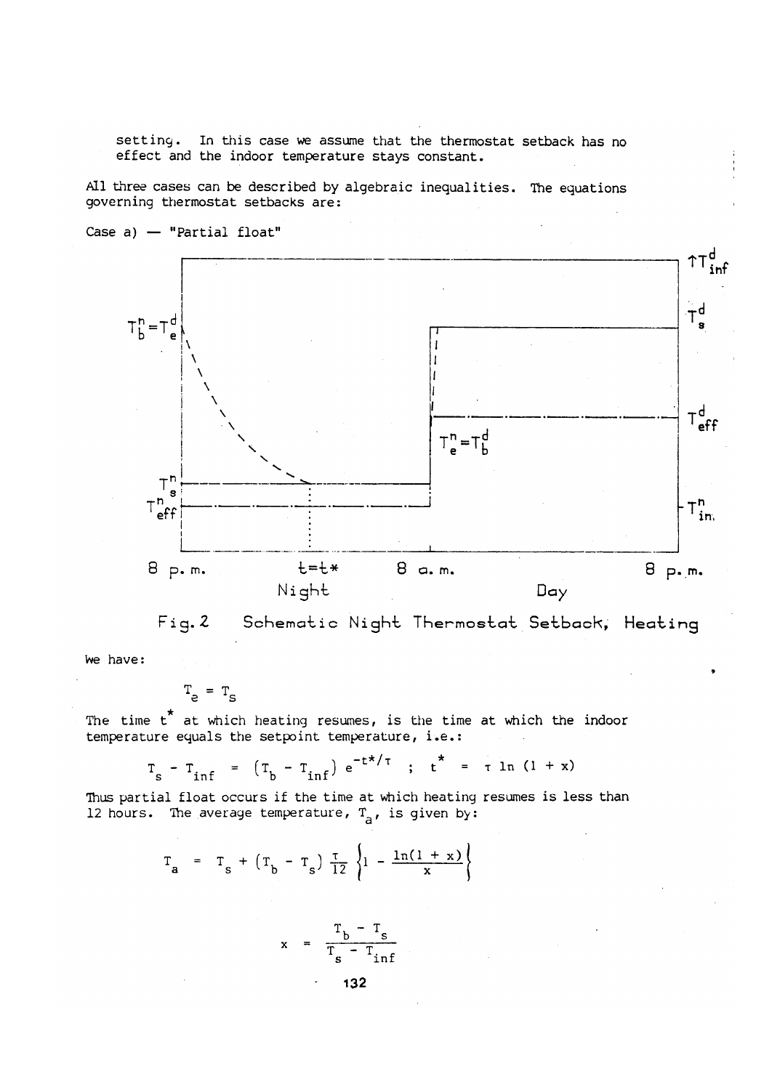setting. In this case we assume that the thermostat setback has no effect and the indoor temperature stays constant.

All three cases can be described by algebraic inequalities. The equations governing thermostat setbacks are:



Case a)  $-$  "Partial float"



we have:

$$
T_{e} = T_{S}
$$

The time t<sup>\*</sup> at which heating resumes, is the time at which the indoor temperature equals the setpoint temperature, i.e.:

$$
T_s - T_{inf} = (T_b - T_{inf}) e^{-t^{*}/\tau}
$$
;  $t^{*} = \tau \ln (1 + x)$ 

Thus partial float occurs if the time at which heating resumes is less than 12 hours. The average temperature,  $T_{\rm a}$ , is given by:

$$
T_a = T_s + (T_b - T_s) \frac{\tau}{12} \left\{1 - \frac{\ln(1 + x)}{x} \right\}
$$

$$
x = \frac{T_b - T_s}{T_s - T_{inf}}
$$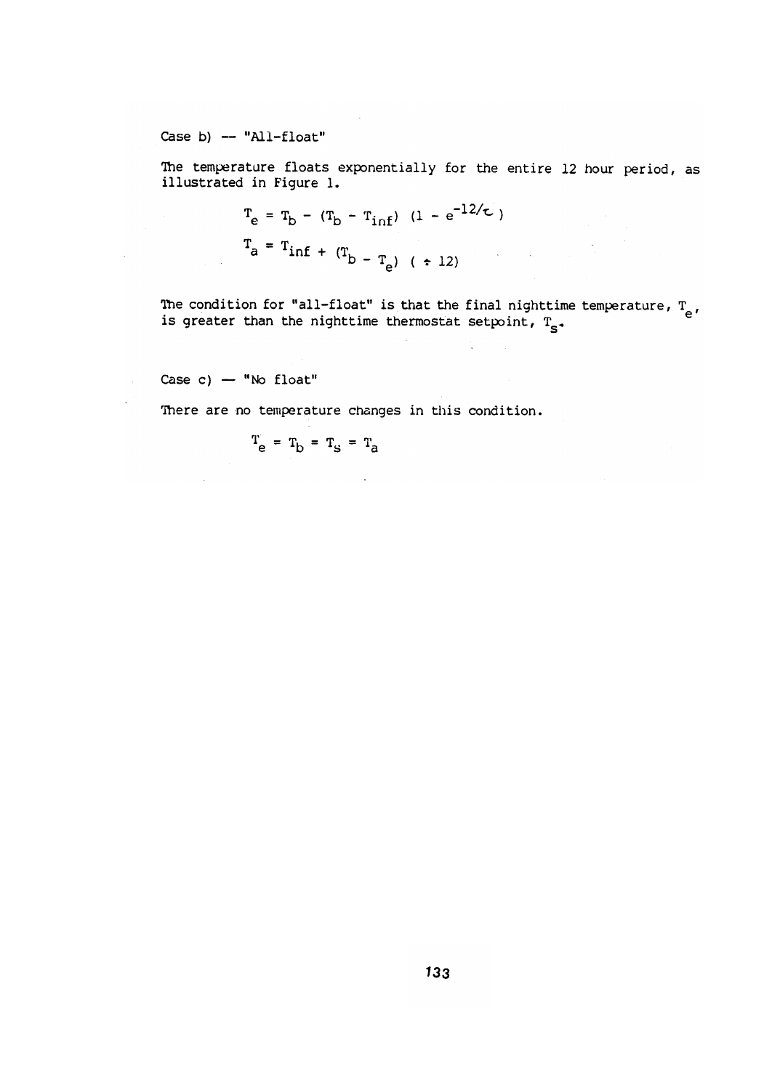Case b)  $-$  "All-float"

The temperature floats exponentially for the entire 12 hour period, as illustrated in Figure 1.

$$
T_e = T_b - (T_b - T_{inf}) (1 - e^{-12/\tau})
$$
  
\n $T_a = T_{inf} + (T_b - T_e) (+ 12)$ 

The condition for "all-float" is that the final nighttime temperature,  $T_{e}$ , is greater than the nighttime thermostat setpoint,  $T_{s}$ .

÷

 $\label{eq:2.1} \frac{1}{\sqrt{2\pi}}\int_{0}^{\infty}\frac{1}{\sqrt{2\pi}}\left(\frac{1}{\sqrt{2\pi}}\right)^{2\pi} \frac{1}{\sqrt{2\pi}}\left(\frac{1}{\sqrt{2\pi}}\right)^{2\pi} \frac{1}{\sqrt{2\pi}}\left(\frac{1}{\sqrt{2\pi}}\right)^{2\pi} \frac{1}{\sqrt{2\pi}}\left(\frac{1}{\sqrt{2\pi}}\right)^{2\pi} \frac{1}{\sqrt{2\pi}}\left(\frac{1}{\sqrt{2\pi}}\right)^{2\pi} \frac{1}{\sqrt{2\pi}}\left(\frac{1}{\$ 

Case c)  $-$  "No float"

 $\hat{\mathcal{L}}_{\text{max}}$  and  $\hat{\mathcal{L}}_{\text{max}}$ 

 $\mathcal{L}_{\text{eff}}$ 

 $\mathcal{L}^{\text{max}}$ 

There are no temperature changes in this condition.

 $\bar{\alpha}$ 

$$
\mathbf{T}_{\mathbf{e}} = \mathbf{T}_{\mathbf{b}} = \mathbf{T}_{\mathbf{s}} = \mathbf{T}_{\mathbf{a}}
$$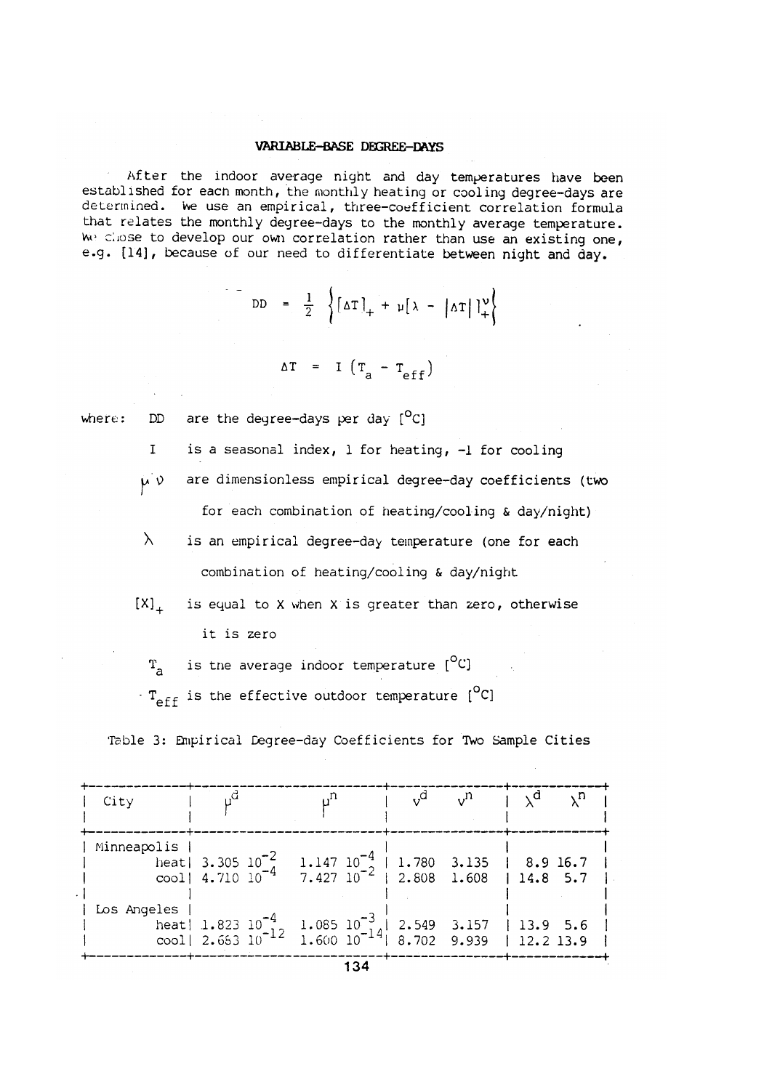### **VARIABLE-BASE DEGREE-DAYS**

After the indoor average night and day temperatures have been established for each month, the monthly heating or cooling degree-days are determined. We use an empirical, three-coefficient correlation formula that relates the monthly degree-days to the monthly average temperature. We chose to develop our own correlation rather than use an existing one, e.g. [14], because of our need to differentiate between night and day.

 $\begin{bmatrix} \text{DD} & = & \frac{1}{2} \end{bmatrix} \left\{ \begin{bmatrix} \Delta T \end{bmatrix}_+ + \mu \begin{bmatrix} \lambda - \lambda T \end{bmatrix} \right\}$ 

$$
\Delta T = I (T_a - T_{eff})
$$

where:

are the degree-days per day  $[°C]$ DD

- is a seasonal index, 1 for heating, -1 for cooling  $\mathbf{I}$
- $\mu' \nu$ are dimensionless empirical degree-day coefficients (two for each combination of heating/cooling & day/night)
- $\lambda$ is an empirical degree-day temperature (one for each combination of heating/cooling & day/night
- $[X]_{\perp}$ is equal to X when X is greater than zero, otherwise it is zero
	- is the average indoor temperature [<sup>O</sup>C]  $T_{\rm a}$
- $T_{eff}$  is the effective outdoor temperature  $[^{O}C]$

Table 3: Empirical Degree-day Coefficients for Two Sample Cities

| City        |                                                                                                                            |  | $n_{\rm v}$ | $1 \Delta d$<br>√n |
|-------------|----------------------------------------------------------------------------------------------------------------------------|--|-------------|--------------------|
| Minneapolis | heat 3.305 $10^{-2}$ 1.147 $10^{-4}$ 1.780 3.135   8.9 16.7<br>cool 4.710 $10^{-4}$ 7.427 $10^{-2}$ 2.808 1.608   14.8 5.7 |  |             |                    |
| Los Angeles | heat 1.823 $10^{-4}$ 1.085 $10^{-3}$ 2.549 3.157 13.9 5.6<br>cool 2.683 $10^{-12}$ 1.600 $10^{-14}$ 8.702 9.939 12.2 13.9  |  |             |                    |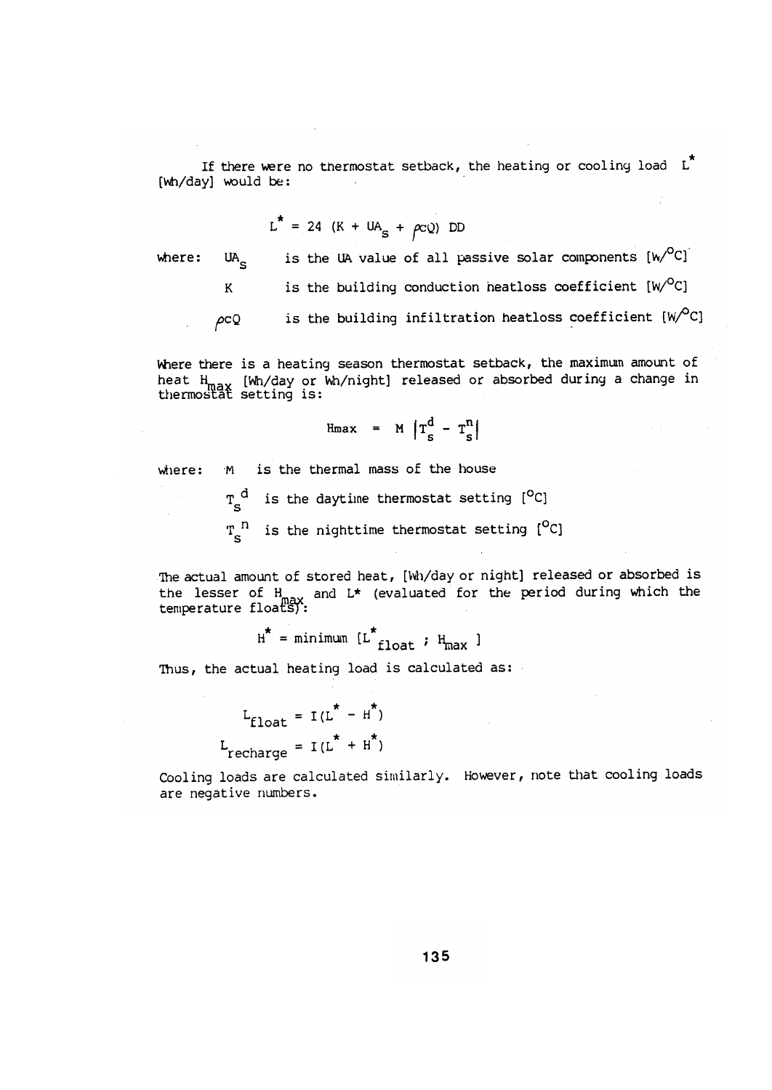If there were no thermostat setback, the heating or cooling load  $L^*$ [Wh/day] would be:

$$
L^* = 24 (K + UA_S + \rho cQ) DD
$$

where:

UA<sub>c</sub> is the building conduction heatloss coefficient [W/°C]  $\mathbf K$ is the building infiltration heatloss coefficient  $[W^O C]$  $\rho cQ$ 

is the UA value of all passive solar components  $[w^O C]$ 

where there is a heating season thermostat setback, the maximum amount of heat H<sub>max</sub> [Wh/day or Wh/night] released or absorbed during a change in thermostat setting is:

$$
Hmax = M \left| T_s^d - T_s^n \right|
$$

M is the thermal mass of the house where:

> $T_S^d$  is the daytime thermostat setting  $[°C]$ is the nighttime thermostat setting [<sup>O</sup>C]  $T_{c}^{n}$

The actual amount of stored heat, [Wh/day or night] released or absorbed is the lesser of  $H_{max}$  and  $L^*$  (evaluated for the period during which the temperature floats):

 $H^*$  = minimum  $[L^*_{float} : H_{max}]$ 

Thus, the actual heating load is calculated as:

$$
L_{\text{float}} = I(L^* - H^*)
$$
  

$$
L_{\text{recharae}} = I(L^* + H^*)
$$

Cooling loads are calculated similarly. However, note that cooling loads are negative numbers.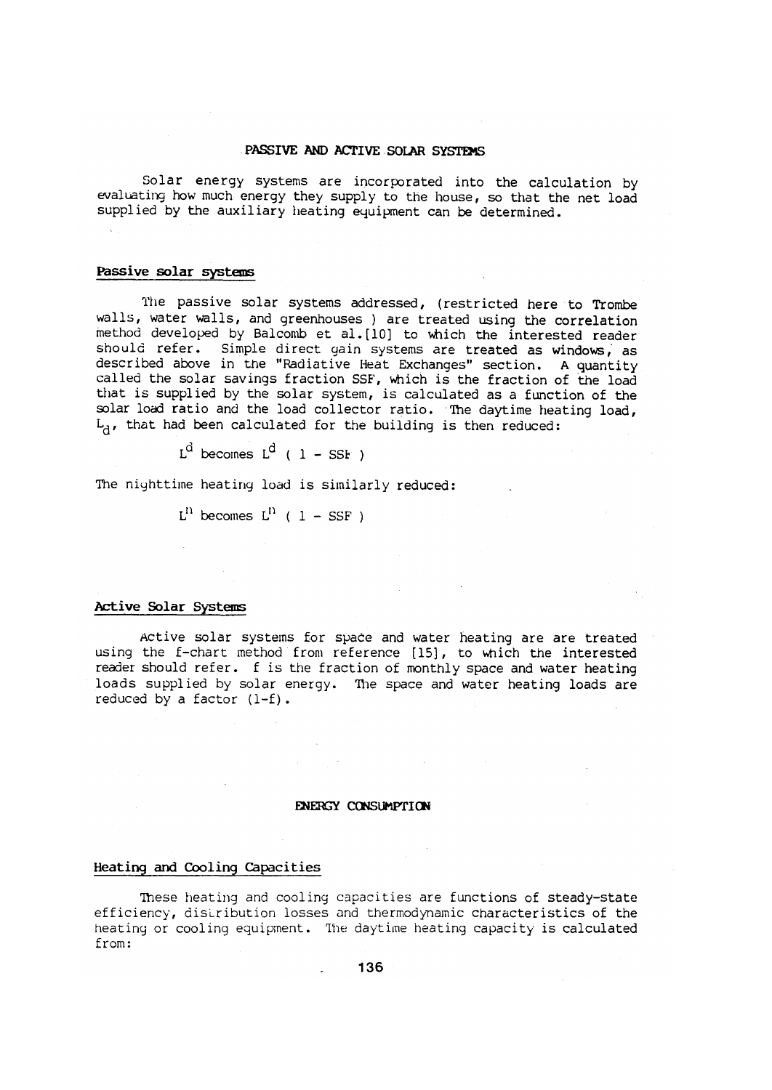# PASSIVE AND ACTIVE SOLAR SYSTEMS

Solar energy systems are incorporated into the calculation by evaluating how much energy they supply to the house, so that the net load supplied by the auxiliary heating equipment can be determined.

### Passive solar systems

The passive solar systems addressed, (restricted here to Trombe walls, water walls, and greenhouses ) are treated using the correlation method developed by Balcomb et al. [10] to which the interested reader should refer. Simple direct gain systems are treated as windows, as described above in the "Radiative Heat Exchanges" section. A quantity called the solar savings fraction SSF, which is the fraction of the load that is supplied by the solar system, is calculated as a function of the solar load ratio and the load collector ratio. The daytime heating load,  $L_{a}$ , that had been calculated for the building is then reduced:

 $L^d$  becomes  $L^d$  ( 1 – SSF )

The nighttime heating load is similarly reduced:

 $L^{n}$  becomes  $L^{n}$  ( 1 – SSF )

### Active Solar Systems

Active solar systems for space and water heating are are treated using the f-chart method from reference [15], to which the interested reader should refer. f is the fraction of monthly space and water heating loads supplied by solar energy. The space and water heating loads are reduced by a factor  $(l-f)$ .

### ENERGY CONSUMPTION

# Heating and Cooling Capacities

These heating and cooling capacities are functions of steady-state efficiency, distribution losses and thermodynamic characteristics of the heating or cooling equipment. The daytime heating capacity is calculated from: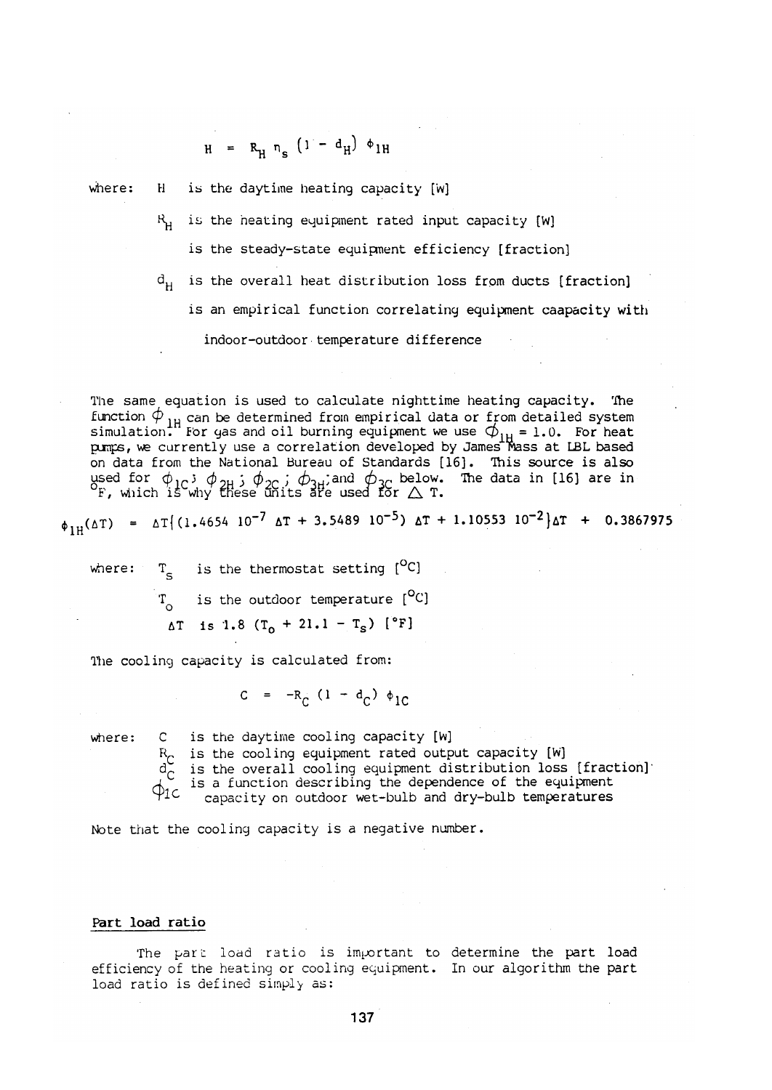$$
H = R_{H} n_{S} (1 - d_{H}) \phi_{1H}
$$

where:

 $H$ is the daytime heating capacity [w]

 $R<sub>u</sub>$  is the heating equipment rated input capacity [W]

is the steady-state equipment efficiency [fraction]

is the overall heat distribution loss from ducts [fraction]  $d_{\mathbf{u}}$ is an empirical function correlating equipment caapacity with indoor-outdoor temperature difference

The same equation is used to calculate nighttime heating capacity. The function  $\phi$ <sub>IH</sub> can be determined from empirical data or from detailed system<br>simulation. For gas and oil burning equipment we use  $\phi$ <sub>IH</sub> = 1.0. For heat<br>pumps, we currently use a correlation developed by James Mass a on data from the National Bureau of Standards [16]. This source is also used for  $\phi_{1C}$ ;  $\phi_{2H}$ ;  $\phi_{2C}$ ;  $\phi_{3H}$ ; and  $\phi_{3C}$  below. The data in [16] are in  $\Gamma$ , which is why these units are used for  $\triangle$  T.

 $\phi_{1\mu}(\Delta T) = \Delta T \{(1.4654 \ 10^{-7} \ \Delta T + 3.5489 \ 10^{-5}) \ \Delta T + 1.10553 \ 10^{-2}\}\Delta T + 0.3867975$ 

 $T_c$  is the thermostat setting [<sup>O</sup>C] where:  $T_{\rm o}$  is the outdoor temperature  $[^{\circ}C]$  $\Delta T$  is 1.8 (T<sub>o</sub> + 21.1 - T<sub>s</sub>) [°F]

The cooling capacity is calculated from:

 $C = -R_C (1 - d_C) \phi_{1C}$ 

where:

C is the daytime cooling capacity [W]  $R_{\cap}$  is the cooling equipment rated output capacity [W] is the overall cooling equipment distribution loss [fraction] is a function describing the dependence of the equipment  $\phi_{1c}$ capacity on outdoor wet-bulb and dry-bulb temperatures

Note that the cooling capacity is a negative number.

#### Part load ratio

The part load ratio is important to determine the part load efficiency of the heating or cooling equipment. In our algorithm the part load ratio is defined simply as: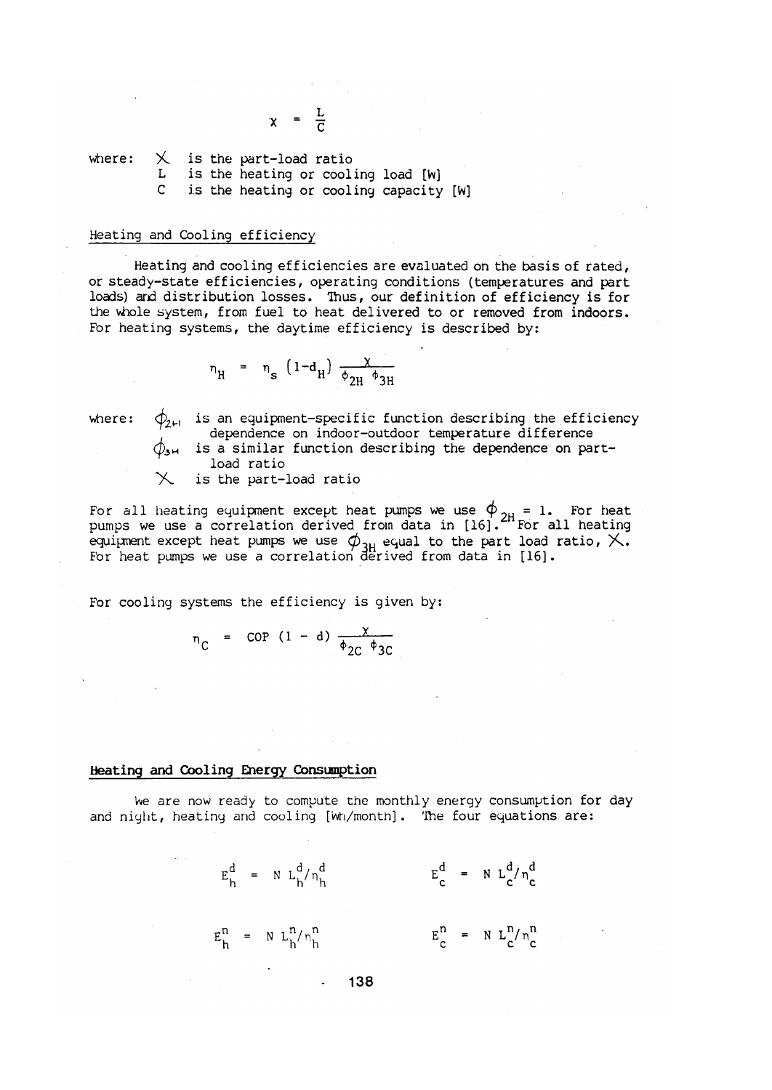$X$  is the part-load ratio<br>L is the heating or cooling load [W] where: C is the heating or cooling capacity [W]

 $x = \frac{L}{C}$ 

# Heating and Cooling efficiency

Heating and cooling efficiencies are evaluated on the basis of rated, or steady-state efficiencies, operating conditions (temperatures and part loads) and distribution losses. Thus, our definition of efficiency is for the whole system, from fuel to heat delivered to or removed from indoors. For heating systems, the daytime efficiency is described by:

$$
n_{\rm H} = n_{\rm s} (1-d_{\rm H}) \frac{\chi}{\phi_{2\rm H} \phi_{3\rm H}}
$$

 $\phi_{2H}$  is an equipment-specific function describing the efficiency where: dependence on indoor-outdoor temperature difference is a similar function describing the dependence on partload ratio is the part-load ratio

For all heating equipment except heat pumps we use  $\phi_{2H} = 1$ . For heat pumps we use a correlation derived from data in [16]. The all heating equipment except heat pumps we use  $\phi_{3H}$  equal to the part load ratio,  $\times$ .<br>For heat pumps we use a correlation derived from data in [16].

For cooling systems the efficiency is given by:

$$
n_C
$$
 = COP (1 - d)  $\frac{X}{\phi_{2C} \phi_{3C}}$ 

# Heating and Cooling Energy Consumption

 $\mathcal{L}^{\mathcal{L}}$  .

We are now ready to compute the monthly energy consumption for day and night, heating and cooling [Wh/month]. The four equations are:

$$
E_h^d = N L_h^d / n_h^d
$$
  
\n
$$
E_c^n = N L_h^n / n_h^n
$$
  
\n
$$
E_c^n = N L_c^d / n_c^d
$$
  
\n
$$
E_c^n = N L_c^n / n_c^n
$$

138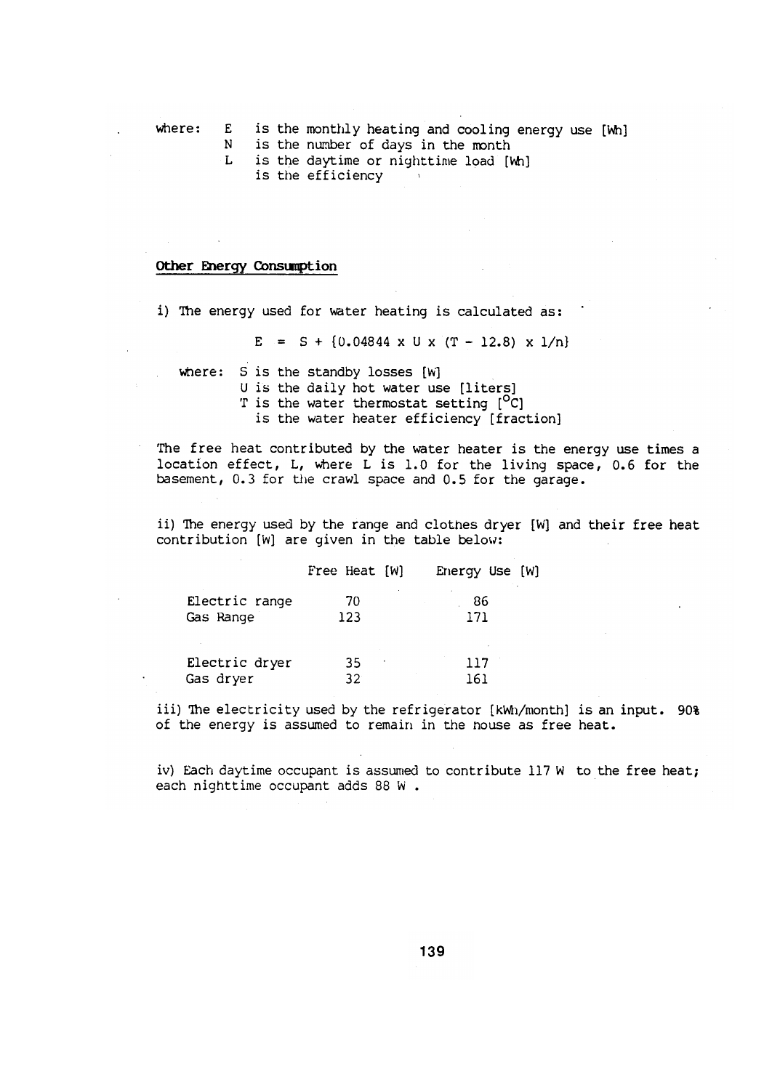where: is the monthly heating and cooling energy use [Wh]  $E$ is the number of days in the month N. L

is the daytime or nighttime load [Wh]

is the efficiency

### Other Energy Consumption

i) The energy used for water heating is calculated as:

 $E = S + \{0.04844 \times U \times (T - 12.8) \times 1/n\}$ 

where: S is the standby losses [W]

U is the daily hot water use [liters]

T is the water thermostat setting [<sup>O</sup>C]

is the water heater efficiency [fraction]

The free heat contributed by the water heater is the energy use times a location effect, L, where L is 1.0 for the living space, 0.6 for the basement, 0.3 for the crawl space and 0.5 for the garage.

ii) The energy used by the range and clothes dryer [W] and their free heat contribution [W] are given in the table below:

|                | Free Heat [W] | Energy Use [W] |
|----------------|---------------|----------------|
| Electric range | 70            | 86             |
| Gas Range      | 123           | 171            |
| Electric dryer | 35            | 117            |
| Gas dryer      | 32            | '61            |

iii) The electricity used by the refrigerator [kWh/month] is an input. 90% of the energy is assumed to remain in the nouse as free heat.

iv) Each daytime occupant is assumed to contribute 117 W to the free heat; each nighttime occupant adds 88 W.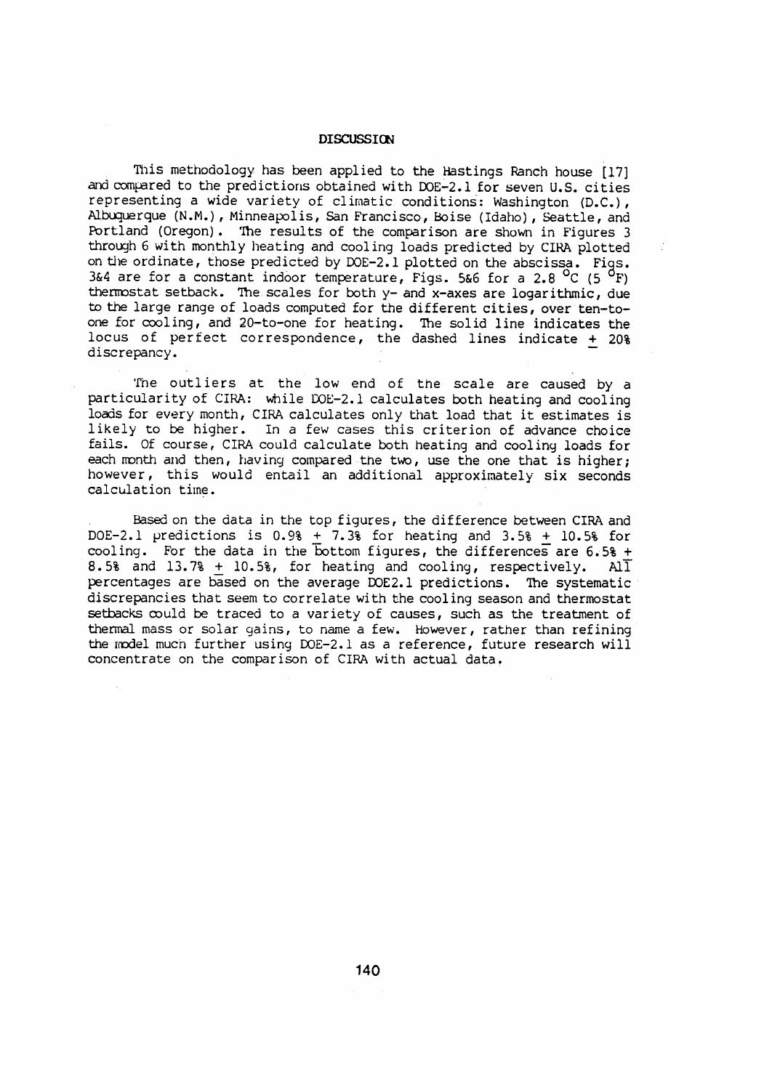#### **DISCUSSION**

This methodology has been applied to the Hastings Ranch house [17] and compared to the predictions obtained with DOE-2.1 for seven U.S. cities representing a wide variety of climatic conditions: Washington (D.C.), Albuquerque (N.M.), Minneapolis, San Francisco, Boise (Idaho), Seattle, and Portland (Oregon). The results of the comparison are shown in Figures 3 through 6 with monthly heating and cooling loads predicted by CIRA plotted on the ordinate, those predicted by DOE-2.1 plotted on the abscissa. Figs. 3&4 are for a constant indoor temperature, Figs. 5&6 for a 2.8 <sup>o</sup>C (5 <sup>o</sup>F) thermostat setback. The scales for both y- and x-axes are logarithmic, due to the large range of loads computed for the different cities, over ten-toone for cooling, and 20-to-one for heating. The solid line indicates the locus of perfect correspondence, the dashed lines indicate + 20% discrepancy.

The outliers at the low end of the scale are caused by a particularity of CIRA: while DOE-2.1 calculates both heating and cooling loads for every month, CIRA calculates only that load that it estimates is likely to be higher. In a few cases this criterion of advance choice fails. Of course, CIRA could calculate both heating and cooling loads for each month and then, having compared the two, use the one that is higher; however, this would entail an additional approximately six seconds calculation time.

Based on the data in the top figures, the difference between CIRA and DOE-2.1 predictions is  $0.98 + 7.38$  for heating and  $3.58 + 10.58$  for cooling. For the data in the bottom figures, the differences are 6.5% + 8.5% and 13.7%  $\pm$  10.5%, for heating and cooling, respectively. All percentages are based on the average DOE2.1 predictions. The systematic discrepancies that seem to correlate with the cooling season and thermostat setbacks could be traced to a variety of causes, such as the treatment of thermal mass or solar gains, to name a few. However, rather than refining the model much further using DOE-2.1 as a reference, future research will concentrate on the comparison of CIRA with actual data.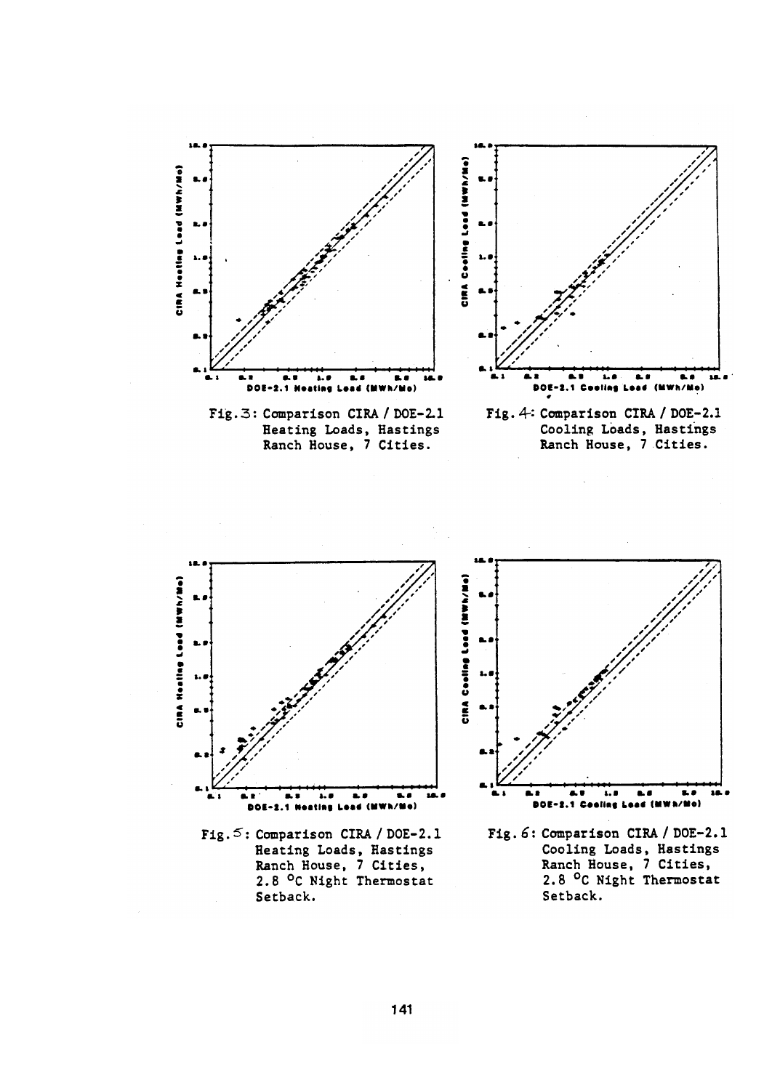



Fig. 5: Comparison CIRA / DOE-2.1 Reating Loads, Hastings<br>Ranch House, 7 Cities,<br>2.8 °C Night Thermostat Setback.



Fig. 6: Comparison CIRA / DOE-2.1 Cooling Loads, Hastings<br>Ranch House, 7 Cities,<br>2.8 °C Night Thermostat Setback.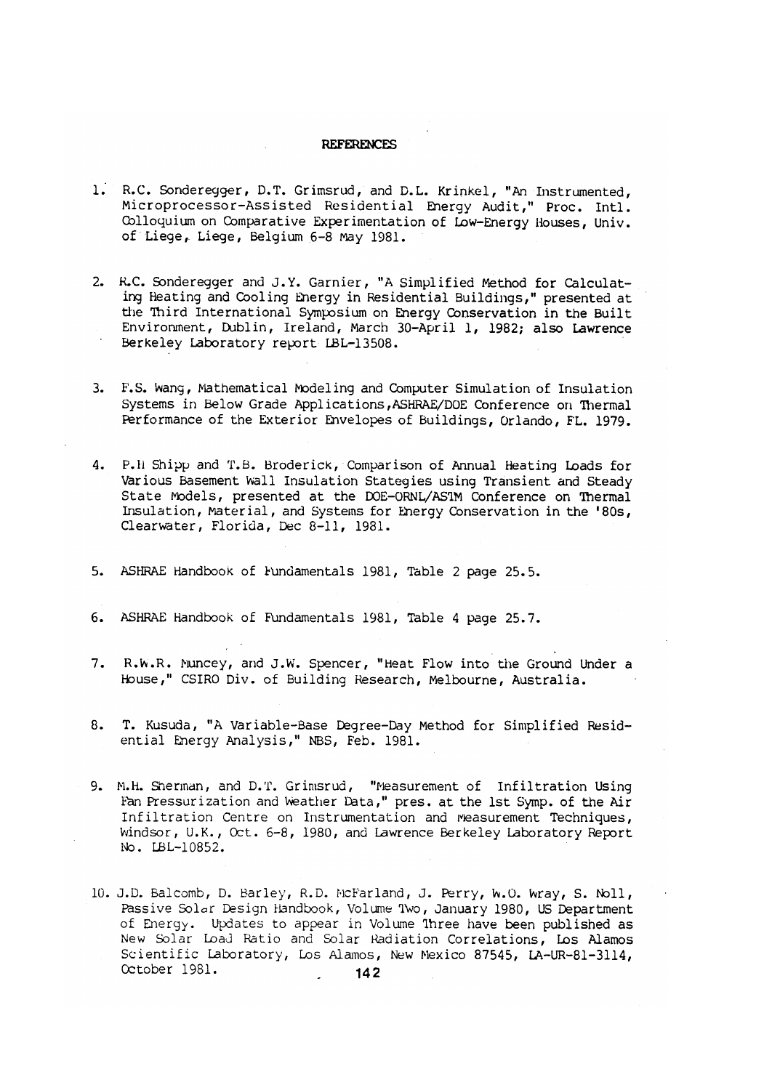### **REFERENCES**

- 1. R.C. Sonderegger, D.T. Grimsrud, and D.L. Krinkel, "An Instrumented, Microprocessor-Assisted Residential Energy Audit," Proc. Intl. Colloquium on Comparative Experimentation of Low-Energy Houses, Univ. of Liege, Liege, Belgium 6-8 May 1981.
- 2. R.C. Sonderegger and J.Y. Garnier, "A Simplified Method for Calculating Heating and Cooling Energy in Residential Buildings," presented at the Third International Symposium on Energy Conservation in the Built Environment, Dublin, Ireland, March 30-April 1, 1982; also Lawrence Berkeley Laboratory report LBL-13508.
- 3. F.S. Wang, Mathematical Modeling and Computer Simulation of Insulation Systems in Below Grade Applications, ASHRAE/DOE Conference on Thermal Performance of the Exterior Envelopes of Buildings, Orlando, FL. 1979.
- 4. P.H Shipp and T.B. Broderick, Comparison of Annual Heating Loads for Various Basement Wall Insulation Stategies using Transient and Steady State Models, presented at the DOE-ORNL/AS1M Conference on Thermal Insulation, Material, and Systems for Energy Conservation in the '80s, Clearwater, Florida, Dec 8-11, 1981.
- 5. ASHRAE Handbook of Fundamentals 1981, Table 2 page 25.5.
- 6. ASHRAE Handbook of Fundamentals 1981, Table 4 page 25.7.
- 7. R.W.R. Muncey, and J.W. Spencer, "Heat Flow into the Ground Under a House," CSIRO Div. of Building Research, Melbourne, Australia.
- T. Kusuda, "A Variable-Base Degree-Day Method for Simplified Resid-8. ential Energy Analysis," NBS, Feb. 1981.
- 9. M.H. Sherman, and D.T. Grimsrud, "Measurement of Infiltration Using Fan Pressurization and Weather Data," pres. at the 1st Symp. of the Air Infiltration Centre on Instrumentation and Measurement Techniques, Windsor, U.K., Oct. 6-8, 1980, and Lawrence Berkeley Laboratory Report No. LBL-10852.
- 10. J.D. Balcomb, D. Barley, R.D. McFarland, J. Perry, W.O. Wray, S. Noll, Passive Solar Design Handbook, Volume 1wo, January 1980, US Department<br>of Energy. Updates to appear in Volume 1hree have been published as New Solar Load Ratio and Solar Radiation Correlations, Los Alamos Scientific Laboratory, Los Alamos, New Mexico 87545, LA-UR-81-3114, October 1981.  $142$